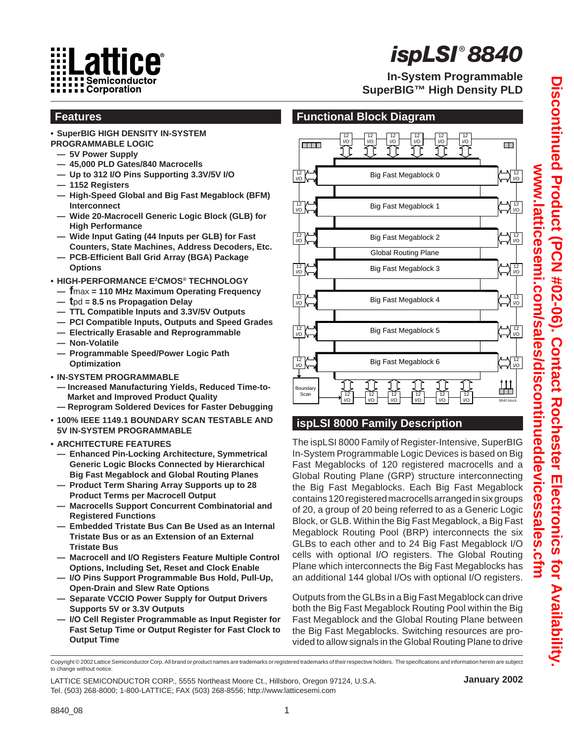

# *ispLSI ® 8840*

**In-System Programmable SuperBIG™ High Density PLD**

- **• SuperBIG HIGH DENSITY IN-SYSTEM PROGRAMMABLE LOGIC**
- **— 5V Power Supply**

**Features**

- **— 45,000 PLD Gates/840 Macrocells**
- **— Up to 312 I/O Pins Supporting 3.3V/5V I/O**
- **— 1152 Registers**
- **— High-Speed Global and Big Fast Megablock (BFM) Interconnect**
- **— Wide 20-Macrocell Generic Logic Block (GLB) for High Performance**
- **Wide Input Gating (44 Inputs per GLB) for Fast Counters, State Machines, Address Decoders, Etc.**
- **PCB-Efficient Ball Grid Array (BGA) Package Options**
- **• HIGH-PERFORMANCE E2 CMOS® TECHNOLOGY**
- **— f**max **= 110 MHz Maximum Operating Frequency**
- **— t**pd **= 8.5 ns Propagation Delay**
- **— TTL Compatible Inputs and 3.3V/5V Outputs**
- **— PCI Compatible Inputs, Outputs and Speed Grades**
- **— Electrically Erasable and Reprogrammable**
- **Non-Volatile**
- **— Programmable Speed/Power Logic Path Optimization**
- **IN-SYSTEM PROGRAMMABLE**
	- **Increased Manufacturing Yields, Reduced Time-to-Market and Improved Product Quality**
	- **Reprogram Soldered Devices for Faster Debugging**
- **• 100% IEEE 1149.1 BOUNDARY SCAN TESTABLE AND 5V IN-SYSTEM PROGRAMMABLE**
- **• ARCHITECTURE FEATURES**
	- **— Enhanced Pin-Locking Architecture, Symmetrical Generic Logic Blocks Connected by Hierarchical Big Fast Megablock and Global Routing Planes**
	- **— Product Term Sharing Array Supports up to 28 Product Terms per Macrocell Output**
	- **— Macrocells Support Concurrent Combinatorial and Registered Functions**
	- **— Embedded Tristate Bus Can Be Used as an Internal Tristate Bus or as an Extension of an External Tristate Bus**
	- **— Macrocell and I/O Registers Feature Multiple Control Options, Including Set, Reset and Clock Enable**
- **— I/O Pins Support Programmable Bus Hold, Pull-Up, Open-Drain and Slew Rate Options**
- **— Separate VCCIO Power Supply for Output Drivers Supports 5V or 3.3V Outputs**
- **— I/O Cell Register Programmable as Input Register for Fast Setup Time or Output Register for Fast Clock to Output Time**



# **ispLSI 8000 Family Description**

The ispLSI 8000 Family of Register-Intensive, SuperBIG In-System Programmable Logic Devices is based on Big Fast Megablocks of 120 registered macrocells and a Global Routing Plane (GRP) structure interconnecting the Big Fast Megablocks. Each Big Fast Megablock contains 120 registered macrocells arranged in six groups of 20, a group of 20 being referred to as a Generic Logic Block, or GLB. Within the Big Fast Megablock, a Big Fast Megablock Routing Pool (BRP) interconnects the six GLBs to each other and to 24 Big Fast Megablock I/O cells with optional I/O registers. The Global Routing Plane which interconnects the Big Fast Megablocks has an additional 144 global I/Os with optional I/O registers.

Outputs from the GLBs in a Big Fast Megablock can drive both the Big Fast Megablock Routing Pool within the Big Fast Megablock and the Global Routing Plane between the Big Fast Megablocks. Switching resources are provided to allow signals in the Global Routing Plane to drive

#### **January 2002**

Discontinued Product (PCN #02-06). Contact Rochester Electronics for Availability **Discontinued Product (PCN #02-06). Contact Rochester Electronics for Availability.**  www.latticesemi.com/sales/discontinueddevicessales.cfm **www.latticesemi.com/sales/discontinueddevicessales.cfm**

Copyright © 2002 Lattice Semiconductor Corp. All brand or product names are trademarks or registered trademarks of their respective holders. The specifications and information herein are subject to change without notice.

LATTICE SEMICONDUCTOR CORP., 5555 Northeast Moore Ct., Hillsboro, Oregon 97124, U.S.A. Tel. (503) 268-8000; 1-800-LATTICE; FAX (503) 268-8556; http://www.latticesemi.com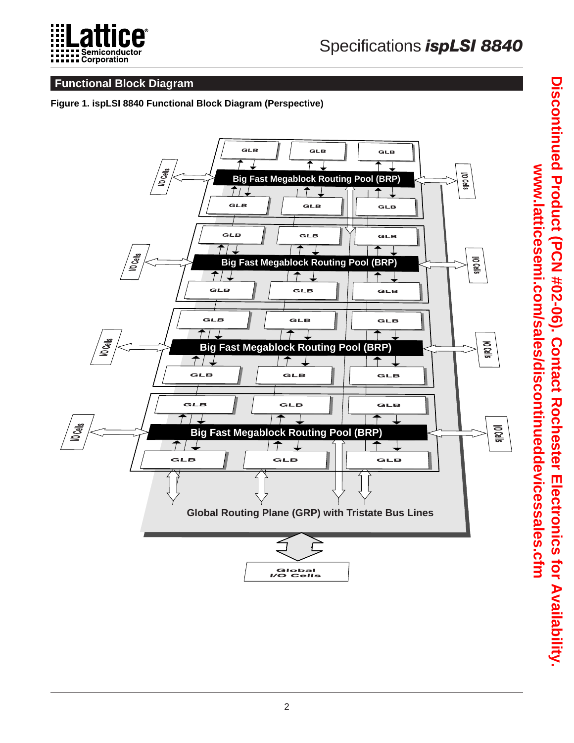

# **Functional Block Diagram**

#### **Figure 1. ispLSI 8840 Functional Block Diagram (Perspective)**

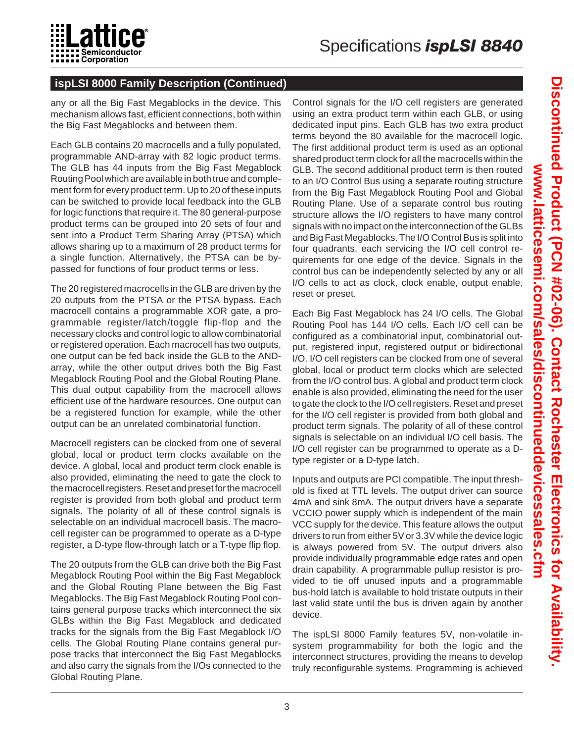

# **ispLSI 8000 Family Description (Continued)**

any or all the Big Fast Megablocks in the device. This mechanism allows fast, efficient connections, both within the Big Fast Megablocks and between them.

Each GLB contains 20 macrocells and a fully populated, programmable AND-array with 82 logic product terms. The GLB has 44 inputs from the Big Fast Megablock Routing Pool which are available in both true and complement form for every product term. Up to 20 of these inputs can be switched to provide local feedback into the GLB for logic functions that require it. The 80 general-purpose product terms can be grouped into 20 sets of four and sent into a Product Term Sharing Array (PTSA) which allows sharing up to a maximum of 28 product terms for a single function. Alternatively, the PTSA can be bypassed for functions of four product terms or less.

The 20 registered macrocells in the GLB are driven by the 20 outputs from the PTSA or the PTSA bypass. Each macrocell contains a programmable XOR gate, a programmable register/latch/toggle flip-flop and the necessary clocks and control logic to allow combinatorial or registered operation. Each macrocell has two outputs, one output can be fed back inside the GLB to the ANDarray, while the other output drives both the Big Fast Megablock Routing Pool and the Global Routing Plane. This dual output capability from the macrocell allows efficient use of the hardware resources. One output can be a registered function for example, while the other output can be an unrelated combinatorial function.

Macrocell registers can be clocked from one of several global, local or product term clocks available on the device. A global, local and product term clock enable is also provided, eliminating the need to gate the clock to the macrocell registers. Reset and preset for the macrocell register is provided from both global and product term signals. The polarity of all of these control signals is selectable on an individual macrocell basis. The macrocell register can be programmed to operate as a D-type register, a D-type flow-through latch or a T-type flip flop.

The 20 outputs from the GLB can drive both the Big Fast Megablock Routing Pool within the Big Fast Megablock and the Global Routing Plane between the Big Fast Megablocks. The Big Fast Megablock Routing Pool contains general purpose tracks which interconnect the six GLBs within the Big Fast Megablock and dedicated tracks for the signals from the Big Fast Megablock I/O cells. The Global Routing Plane contains general purpose tracks that interconnect the Big Fast Megablocks and also carry the signals from the I/Os connected to the Global Routing Plane.

Control signals for the I/O cell registers are generated using an extra product term within each GLB, or using dedicated input pins. Each GLB has two extra product terms beyond the 80 available for the macrocell logic. The first additional product term is used as an optional shared product term clock for all the macrocells within the GLB. The second additional product term is then routed to an I/O Control Bus using a separate routing structure from the Big Fast Megablock Routing Pool and Global Routing Plane. Use of a separate control bus routing structure allows the I/O registers to have many control signals with no impact on the interconnection of the GLBs and Big Fast Megablocks. The I/O Control Bus is split into four quadrants, each servicing the I/O cell control requirements for one edge of the device. Signals in the control bus can be independently selected by any or all I/O cells to act as clock, clock enable, output enable, reset or preset.

Each Big Fast Megablock has 24 I/O cells. The Global Routing Pool has 144 I/O cells. Each I/O cell can be configured as a combinatorial input, combinatorial output, registered input, registered output or bidirectional I/O. I/O cell registers can be clocked from one of several global, local or product term clocks which are selected from the I/O control bus. A global and product term clock enable is also provided, eliminating the need for the user to gate the clock to the I/O cell registers. Reset and preset for the I/O cell register is provided from both global and product term signals. The polarity of all of these control signals is selectable on an individual I/O cell basis. The I/O cell register can be programmed to operate as a Dtype register or a D-type latch.

Inputs and outputs are PCI compatible. The input threshold is fixed at TTL levels. The output driver can source 4mA and sink 8mA. The output drivers have a separate VCCIO power supply which is independent of the main VCC supply for the device. This feature allows the output drivers to run from either 5V or 3.3V while the device logic is always powered from 5V. The output drivers also provide individually programmable edge rates and open drain capability. A programmable pullup resistor is provided to tie off unused inputs and a programmable bus-hold latch is available to hold tristate outputs in their last valid state until the bus is driven again by another device.

The ispLSI 8000 Family features 5V, non-volatile insystem programmability for both the logic and the interconnect structures, providing the means to develop truly reconfigurable systems. Programming is achieved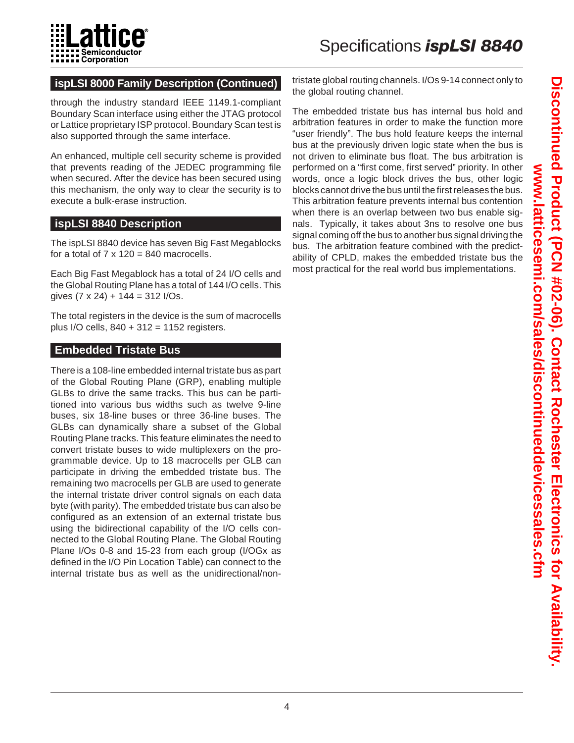

# **ispLSI 8000 Family Description (Continued)**

through the industry standard IEEE 1149.1-compliant Boundary Scan interface using either the JTAG protocol or Lattice proprietary ISP protocol. Boundary Scan test is also supported through the same interface.

An enhanced, multiple cell security scheme is provided that prevents reading of the JEDEC programming file when secured. After the device has been secured using this mechanism, the only way to clear the security is to execute a bulk-erase instruction.

#### **ispLSI 8840 Description**

The ispLSI 8840 device has seven Big Fast Megablocks for a total of  $7 \times 120 = 840$  macrocells.

Each Big Fast Megablock has a total of 24 I/O cells and the Global Routing Plane has a total of 144 I/O cells. This gives  $(7 \times 24) + 144 = 312$  I/Os.

The total registers in the device is the sum of macrocells plus I/O cells, 840 + 312 = 1152 registers.

#### **Embedded Tristate Bus**

There is a 108-line embedded internal tristate bus as part of the Global Routing Plane (GRP), enabling multiple GLBs to drive the same tracks. This bus can be partitioned into various bus widths such as twelve 9-line buses, six 18-line buses or three 36-line buses. The GLBs can dynamically share a subset of the Global Routing Plane tracks. This feature eliminates the need to convert tristate buses to wide multiplexers on the programmable device. Up to 18 macrocells per GLB can participate in driving the embedded tristate bus. The remaining two macrocells per GLB are used to generate the internal tristate driver control signals on each data byte (with parity). The embedded tristate bus can also be configured as an extension of an external tristate bus using the bidirectional capability of the I/O cells connected to the Global Routing Plane. The Global Routing Plane I/Os 0-8 and 15-23 from each group (I/OGx as defined in the I/O Pin Location Table) can connect to the internal tristate bus as well as the unidirectional/nontristate global routing channels. I/Os 9-14 connect only to the global routing channel.

The embedded tristate bus has internal bus hold and arbitration features in order to make the function more "user friendly". The bus hold feature keeps the internal bus at the previously driven logic state when the bus is not driven to eliminate bus float. The bus arbitration is performed on a "first come, first served" priority. In other words, once a logic block drives the bus, other logic blocks cannot drive the bus until the first releases the bus. This arbitration feature prevents internal bus contention when there is an overlap between two bus enable signals. Typically, it takes about 3ns to resolve one bus signal coming off the bus to another bus signal driving the bus. The arbitration feature combined with the predictability of CPLD, makes the embedded tristate bus the most practical for the real world bus implementations.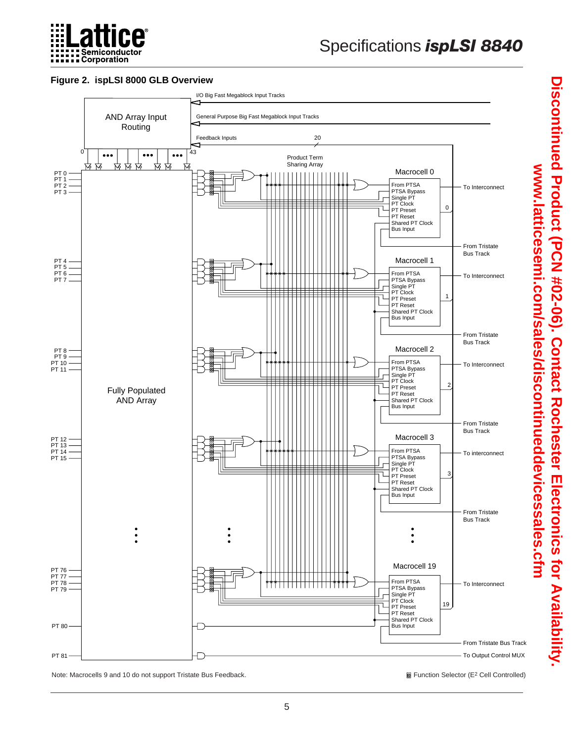

#### **Figure 2. ispLSI 8000 GLB Overview**



Note: Macrocells 9 and 10 do not support Tristate Bus Feedback. Cell Controlled) **and Tristate Bus Feedback.** Cell Controlled)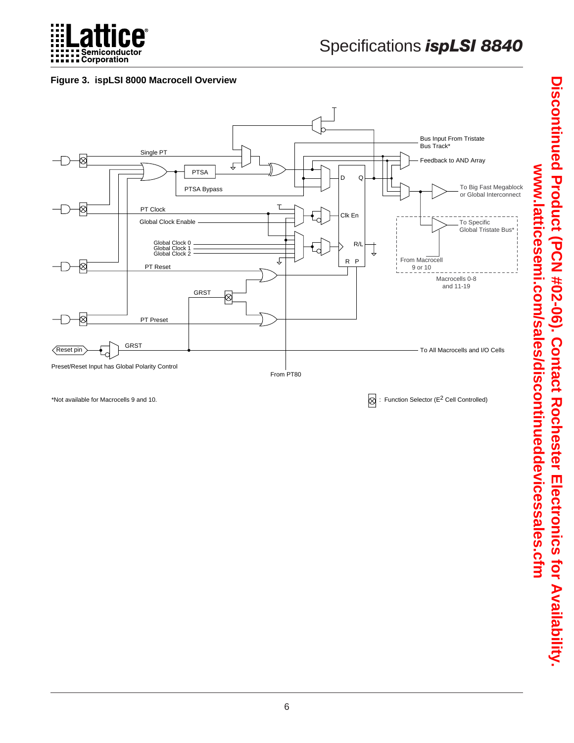

#### **Figure 3. ispLSI 8000 Macrocell Overview**



\*Not available for Macrocells 9 and 10.  $\otimes$  : Function Selector (E<sup>2</sup> Cell Controlled)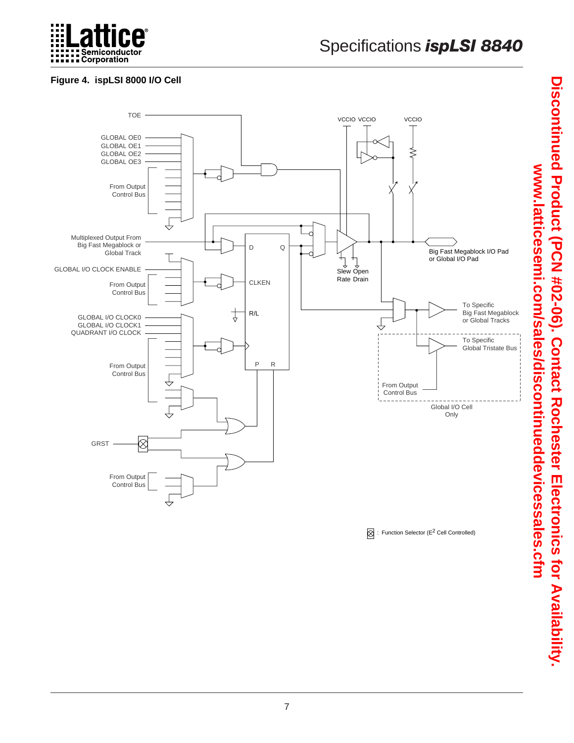

# Specifications *ispLSI 8840*

# **Figure 4. ispLSI 8000 I/O Cell**



 $\oslash$  : Function Selector (E<sup>2</sup> Cell Controlled)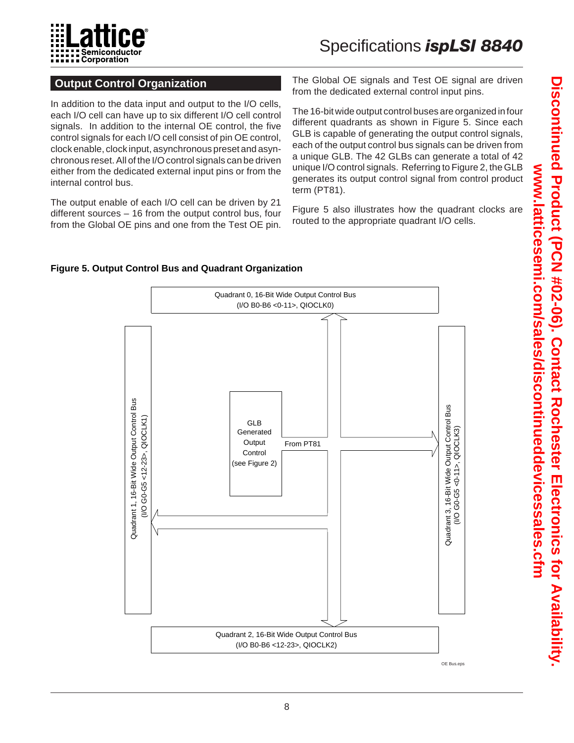

# **Output Control Organization**

In addition to the data input and output to the I/O cells, each I/O cell can have up to six different I/O cell control signals. In addition to the internal OE control, the five control signals for each I/O cell consist of pin OE control, clock enable, clock input, asynchronous preset and asynchronous reset. All of the I/O control signals can be driven either from the dedicated external input pins or from the internal control bus.

The output enable of each I/O cell can be driven by 21 different sources – 16 from the output control bus, four from the Global OE pins and one from the Test OE pin. The Global OE signals and Test OE signal are driven from the dedicated external control input pins.

The 16-bit wide output control buses are organized in four different quadrants as shown in Figure 5. Since each GLB is capable of generating the output control signals, each of the output control bus signals can be driven from a unique GLB. The 42 GLBs can generate a total of 42 unique I/O control signals. Referring to Figure 2, the GLB generates its output control signal from control product term (PT81).

Figure 5 also illustrates how the quadrant clocks are routed to the appropriate quadrant I/O cells.



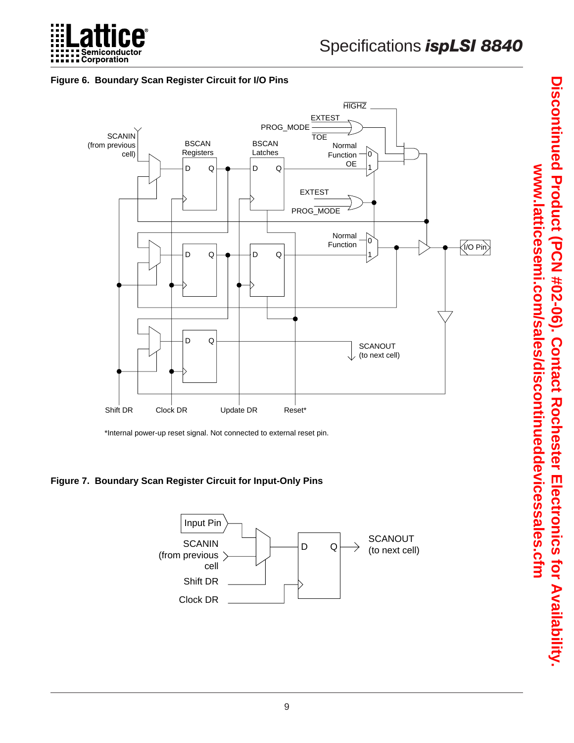

#### **Figure 6. Boundary Scan Register Circuit for I/O Pins**



\*Internal power-up reset signal. Not connected to external reset pin.

**Figure 7. Boundary Scan Register Circuit for Input-Only Pins**

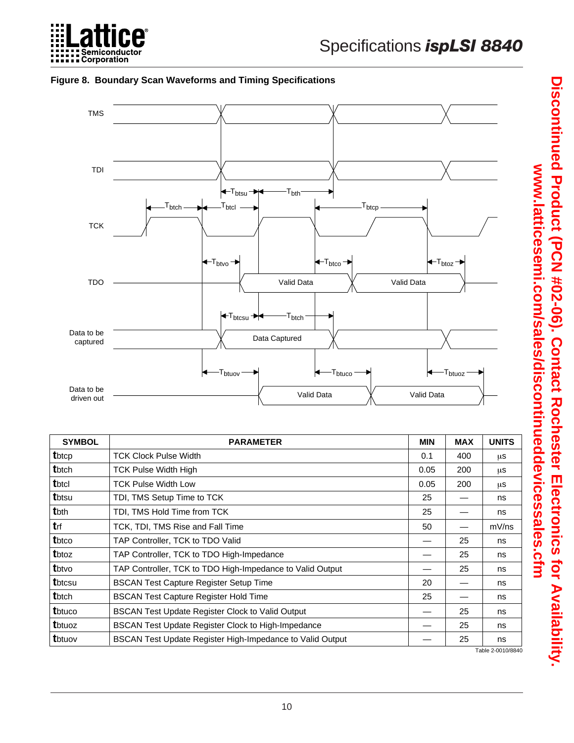

#### **Figure 8. Boundary Scan Waveforms and Timing Specifications**



| <b>SYMBOL</b> | <b>PARAMETER</b>                                          | <b>MIN</b> | <b>MAX</b> | <b>UNITS</b>      |
|---------------|-----------------------------------------------------------|------------|------------|-------------------|
| tbtcp         | <b>TCK Clock Pulse Width</b>                              | 0.1        | 400        | μS                |
| tbtch         | <b>TCK Pulse Width High</b>                               | 0.05       | 200        | μs                |
| tbtcl         | <b>TCK Pulse Width Low</b>                                | 0.05       | 200        | μS                |
| tbtsu         | TDI, TMS Setup Time to TCK                                | 25         |            | ns                |
| tbth          | TDI, TMS Hold Time from TCK                               | 25         |            | ns                |
| trf           | TCK, TDI, TMS Rise and Fall Time                          | 50         |            | mV/ns             |
| tbtco         | TAP Controller, TCK to TDO Valid                          |            | 25         | ns                |
| tbtoz         | TAP Controller, TCK to TDO High-Impedance                 |            | 25         | ns                |
| tbtvo         | TAP Controller, TCK to TDO High-Impedance to Valid Output |            | 25         | ns                |
| tbtcsu        | <b>BSCAN Test Capture Register Setup Time</b>             | 20         |            | ns                |
| tbtch         | <b>BSCAN Test Capture Register Hold Time</b>              | 25         |            | ns                |
| tbtuco        | <b>BSCAN Test Update Register Clock to Valid Output</b>   |            | 25         | ns                |
| tbtuoz        | <b>BSCAN Test Update Register Clock to High-Impedance</b> |            | 25         | ns                |
| tbtuov        | BSCAN Test Update Register High-Impedance to Valid Output |            | 25         | ns                |
|               |                                                           |            |            | Table 2-0010/8840 |

Discontinued Product (PCN #02-00). Contact Rochester Electronics tor Availability. **Discontinued Product (PCN #02-06). Contact Rochester Electronics for Availability.**  www.latticesemi.com/sales/discontinueddevicessales.cfm **www.latticesemi.com/sales/discontinueddevicessales.cfm**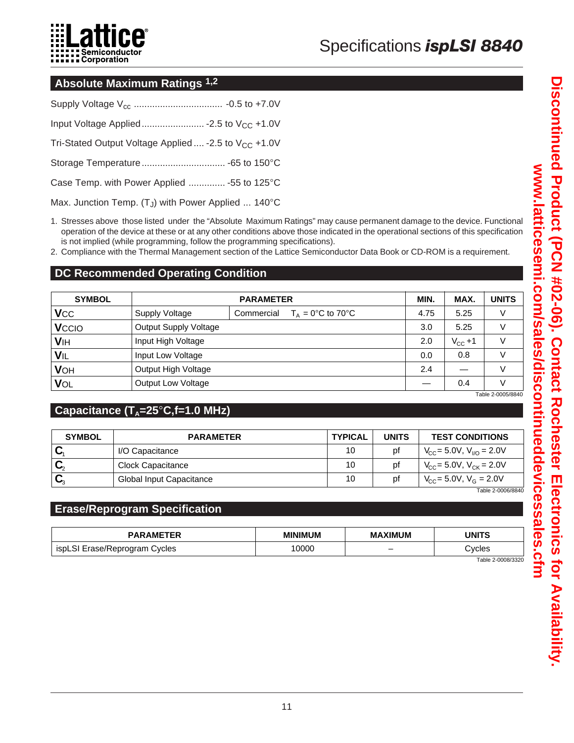

#### **Absolute Maximum Ratings 1,2**

| Tri-Stated Output Voltage Applied  -2.5 to V <sub>CC</sub> +1.0V |  |
|------------------------------------------------------------------|--|
|                                                                  |  |
| Case Temp. with Power Applied  -55 to 125°C                      |  |
|                                                                  |  |

Max. Junction Temp.  $(T_J)$  with Power Applied ... 140 $^{\circ}$ C

- 1. Stresses above those listed under the "Absolute Maximum Ratings" may cause permanent damage to the device. Functional operation of the device at these or at any other conditions above those indicated in the operational sections of this specification is not implied (while programming, follow the programming specifications).
- 2. Compliance with the Thermal Management section of the Lattice Semiconductor Data Book or CD-ROM is a requirement.

# **DC Recommended Operating Condition**

| <b>SYMBOL</b> |                           | <b>PARAMETER</b>                                     |      |              | <b>UNITS</b> |
|---------------|---------------------------|------------------------------------------------------|------|--------------|--------------|
| <b>V</b> cc   | <b>Supply Voltage</b>     | Commercial<br>$T_{A} = 0^{\circ}C$ to 70 $^{\circ}C$ | 4.75 | 5.25         | V            |
| Vccio         | Output Supply Voltage     |                                                      | 3.0  | 5.25         | V            |
| <b>VIH</b>    | Input High Voltage        |                                                      | 2.0  | $V_{CC} + 1$ | $\vee$       |
| VIL           | Input Low Voltage         |                                                      | 0.0  | 0.8          |              |
| <b>VOH</b>    | Output High Voltage       |                                                      | 2.4  |              | V            |
| VOL           | <b>Output Low Voltage</b> |                                                      |      | 0.4          |              |

Table 2-0005/8840

# Capacitance (T<sub>A</sub>=25<sup>°</sup>C,f=1.0 MHz)

| <b>SYMBOL</b> | <b>PARAMETER</b>         | <b>TYPICAL</b> | <b>UNITS</b> | <b>TEST CONDITIONS</b>                         |
|---------------|--------------------------|----------------|--------------|------------------------------------------------|
|               | I/O Capacitance          | 10             | рt           | $V_{CC}$ = 5.0V, $V_{VQ}$ = 2.0V               |
|               | Clock Capacitance        | 10             | рt           | $V_{\text{CC}} = 5.0 V, V_{\text{CK}} = 2.0 V$ |
|               | Global Input Capacitance | 10             | рt           | $V_{\rm CC}$ = 5.0V, $V_{\rm G}$ = 2.0V        |

Table 2-0006/8840

#### **Erase/Reprogram Specification**

| <b>PARAMETER</b>              | <b>MINIMUM</b> | <b>MAXIMUM</b>           | UNITS  |
|-------------------------------|----------------|--------------------------|--------|
| ispLSI Erase/Reprogram Cycles | 0000           | $\overline{\phantom{0}}$ | ∵vcles |

Table 2-0008/3320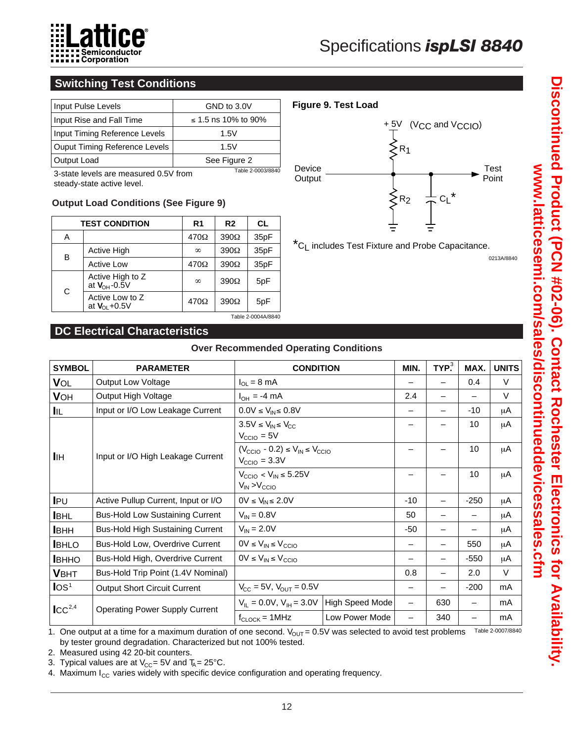

# **Switching Test Conditions**

| Input Pulse Levels                        | GND to 3.0V         |
|-------------------------------------------|---------------------|
| Input Rise and Fall Time                  | ≤ 1.5 ns 10% to 90% |
| Input Timing Reference Levels             | 1.5V                |
| Ouput Timing Reference Levels             | 1.5V                |
| Output Load                               | See Figure 2        |
| $3$ -state levels are measured $0.5$ from | Table 2-0003/8840   |

3-state levels are measured 0.5V from steady-state active level.

#### **Output Load Conditions (See Figure 9)**

| <b>TEST CONDITION</b> |                                          | R <sub>1</sub> | R <sub>2</sub> | CL.  |
|-----------------------|------------------------------------------|----------------|----------------|------|
| Α                     |                                          | $470\Omega$    | $390\Omega$    | 35pF |
|                       | <b>Active High</b>                       | $\infty$       | $390\Omega$    | 35pF |
| в                     | <b>Active Low</b>                        | 470Ω           | $390\Omega$    | 35pF |
| C                     | Active High to Z<br>at $V_{OH}$ -0.5V    | $\infty$       | $390\Omega$    | 5pF  |
|                       | Active Low to Z<br>at $V_{\Omega}$ +0.5V | 470Ω           | $390\Omega$    | 5pF  |
| Table 2-0004A/8840    |                                          |                |                |      |

### **DC Electrical Characteristics**

| <b>SYMBOL</b>                                    | <b>PARAMETER</b>                        | <b>CONDITION</b>                                                                            |                 | MIN.  | $TYP^3$ | MAX.   | <b>UNITS</b> |
|--------------------------------------------------|-----------------------------------------|---------------------------------------------------------------------------------------------|-----------------|-------|---------|--------|--------------|
| VOL                                              | Output Low Voltage                      | $I_{OL} = 8 \text{ mA}$                                                                     |                 |       |         | 0.4    | $\vee$       |
| <b>V</b> OH                                      | Output High Voltage                     | $I_{OH} = -4 \text{ mA}$                                                                    |                 | 2.4   |         |        | $\vee$       |
| IIL.                                             | Input or I/O Low Leakage Current        | $0.0V \leq V_{IN} \leq 0.8V$                                                                |                 |       |         | $-10$  | μA           |
| Input or I/O High Leakage Current<br><b>I</b> IH |                                         | $3.5V \leq V_{IN} \leq V_{CC}$<br>$V_{\text{CCIO}} = 5V$                                    |                 |       |         | 10     | μA           |
|                                                  |                                         | $(V_{\text{CCIO}} - 0.2) \le V_{\text{IN}} \le V_{\text{CCIO}}$<br>$V_{\text{CCIO}} = 3.3V$ |                 |       |         | 10     | μA           |
|                                                  |                                         | $V_{\text{CCIO}} < V_{\text{IN}} \leq 5.25V$<br>$V_{IN} > V_{CCIO}$                         |                 |       | 10      | μA     |              |
| $I_{PU}$                                         | Active Pullup Current, Input or I/O     | $0V \le V_{IN} \le 2.0V$                                                                    |                 | $-10$ |         | $-250$ | μA           |
| <b>I</b> BHL                                     | <b>Bus-Hold Low Sustaining Current</b>  | $V_{IN} = 0.8V$                                                                             |                 | 50    |         |        | μA           |
| <b>I</b> BHH                                     | <b>Bus-Hold High Sustaining Current</b> | $V_{IN} = 2.0V$                                                                             |                 | $-50$ | —       |        | μA           |
| <b>BHLO</b>                                      | Bus-Hold Low, Overdrive Current         | $0V \le V_{IN} \le V_{CCIO}$                                                                |                 |       |         | 550    | μA           |
| <b>I</b> BHHO                                    | Bus-Hold High, Overdrive Current        | $0V \leq V_{IN} \leq V_{CCIO}$                                                              |                 |       |         | $-550$ | μA           |
| <b>VBHT</b>                                      | Bus-Hold Trip Point (1.4V Nominal)      |                                                                                             |                 | 0.8   | —       | 2.0    | V            |
| $\log_1$                                         | <b>Output Short Circuit Current</b>     | $V_{CC} = 5V$ , $V_{OUT} = 0.5V$                                                            |                 |       | -       | $-200$ | mA           |
| $\mathsf{ICC}^{2,4}$                             | <b>Operating Power Supply Current</b>   | $V_{IL} = 0.0 V$ , $V_{IH} = 3.0 V$                                                         | High Speed Mode |       | 630     |        | mA           |
|                                                  |                                         | $f_{\text{CLOCK}} = 1$ MHz                                                                  | Low Power Mode  |       | 340     |        | mA           |

**Over Recommended Operating Conditions**

1. One output at a time for a maximum duration of one second.  $V_{\rm OUT}$  = 0.5V was selected to avoid test problems by tester ground degradation. Characterized but not 100% tested. Table 2-0007/8840

2. Measured using 42 20-bit counters.

3. Typical values are at  $\rm V_{CC}$ = 5V and T $_{\rm A}$ = 25°C.

4. Maximum  $I_{CC}$  varies widely with specific device configuration and operating frequency.



\*CL includes Test Fixture and Probe Capacitance.

0213A/8840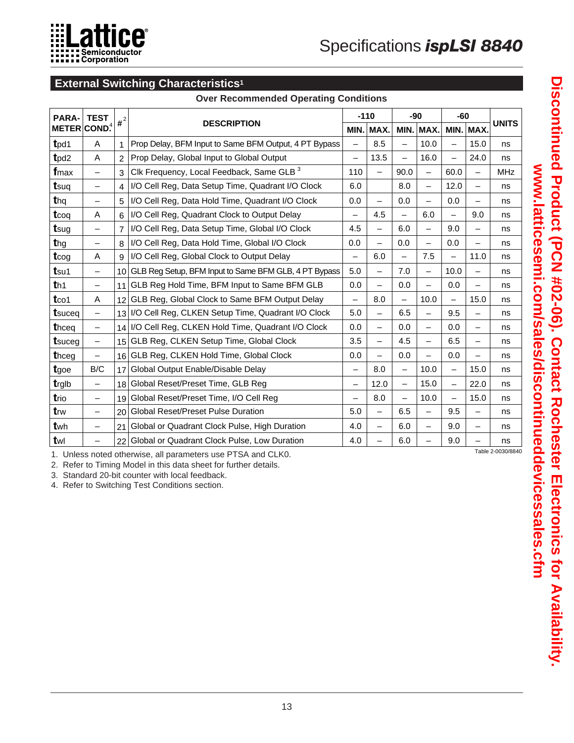

# **External Switching Characteristics1**

#### **Over Recommended Operating Conditions**

| <b>TEST</b>              |                         |                                                       |                                                                                                                                                                                                                                                                                                                                                          | $-110$                   |                          |                          | -60                      |                          | <b>UNITS</b>              |
|--------------------------|-------------------------|-------------------------------------------------------|----------------------------------------------------------------------------------------------------------------------------------------------------------------------------------------------------------------------------------------------------------------------------------------------------------------------------------------------------------|--------------------------|--------------------------|--------------------------|--------------------------|--------------------------|---------------------------|
|                          |                         |                                                       | MIN.                                                                                                                                                                                                                                                                                                                                                     | MAX.                     |                          |                          | MIN.                     |                          |                           |
| A                        |                         | Prop Delay, BFM Input to Same BFM Output, 4 PT Bypass |                                                                                                                                                                                                                                                                                                                                                          | 8.5                      |                          | 10.0                     | $\overline{\phantom{0}}$ | 15.0                     | ns                        |
| A                        | $\overline{2}$          | Prop Delay, Global Input to Global Output             | $\overline{\phantom{0}}$                                                                                                                                                                                                                                                                                                                                 | 13.5                     | $\overline{\phantom{0}}$ | 16.0                     |                          | 24.0                     | ns                        |
| $\overline{\phantom{m}}$ | 3                       | Clk Frequency, Local Feedback, Same GLB <sup>3</sup>  | 110                                                                                                                                                                                                                                                                                                                                                      |                          | 90.0                     | $\overline{\phantom{0}}$ | 60.0                     | $\overline{\phantom{0}}$ | <b>MHz</b>                |
| $\overline{\phantom{m}}$ | 4                       | I/O Cell Reg, Data Setup Time, Quadrant I/O Clock     | 6.0                                                                                                                                                                                                                                                                                                                                                      |                          | 8.0                      | $\overline{\phantom{0}}$ | 12.0                     | —                        | ns                        |
| $\overline{\phantom{m}}$ | 5                       | I/O Cell Reg, Data Hold Time, Quadrant I/O Clock      | 0.0                                                                                                                                                                                                                                                                                                                                                      | $\overline{\phantom{0}}$ | 0.0                      | $\overline{\phantom{0}}$ | 0.0                      |                          | ns                        |
| Α                        | 6                       | I/O Cell Reg, Quadrant Clock to Output Delay          | $\overline{\phantom{0}}$                                                                                                                                                                                                                                                                                                                                 | 4.5                      | $\overline{\phantom{m}}$ | 6.0                      | $\qquad \qquad -$        | 9.0                      | ns                        |
| $\overline{\phantom{m}}$ | $\overline{7}$          | I/O Cell Reg, Data Setup Time, Global I/O Clock       | 4.5                                                                                                                                                                                                                                                                                                                                                      | $\overline{\phantom{0}}$ | 6.0                      | $\overline{\phantom{0}}$ | 9.0                      | $\overline{\phantom{0}}$ | ns                        |
| $\overline{\phantom{m}}$ | 8                       | I/O Cell Reg, Data Hold Time, Global I/O Clock        | 0.0                                                                                                                                                                                                                                                                                                                                                      | $\overline{\phantom{0}}$ | 0.0                      | $\overline{\phantom{0}}$ | 0.0                      | —                        | ns                        |
| Α                        | 9                       | I/O Cell Reg, Global Clock to Output Delay            |                                                                                                                                                                                                                                                                                                                                                          | 6.0                      |                          | 7.5                      |                          | 11.0                     | ns                        |
| $\overline{\phantom{m}}$ |                         |                                                       | 5.0                                                                                                                                                                                                                                                                                                                                                      | —                        | 7.0                      | $\overline{\phantom{0}}$ | 10.0                     | —                        | ns                        |
| $\overline{\phantom{m}}$ | 11                      | GLB Reg Hold Time, BFM Input to Same BFM GLB          | 0.0                                                                                                                                                                                                                                                                                                                                                      | $\overline{\phantom{0}}$ | 0.0                      | $\overline{\phantom{0}}$ | 0.0                      | $\overline{\phantom{0}}$ | ns                        |
| A                        |                         | GLB Reg, Global Clock to Same BFM Output Delay        | $\overline{\phantom{0}}$                                                                                                                                                                                                                                                                                                                                 | 8.0                      | $\overline{\phantom{m}}$ | 10.0                     | $\qquad \qquad -$        | 15.0                     | ns                        |
| $\overline{\phantom{m}}$ |                         |                                                       | 5.0                                                                                                                                                                                                                                                                                                                                                      | -                        | 6.5                      | —                        | 9.5                      | —                        | ns                        |
| $\overline{\phantom{m}}$ |                         |                                                       | 0.0                                                                                                                                                                                                                                                                                                                                                      | $\overline{\phantom{0}}$ | 0.0                      | $\overline{\phantom{0}}$ | 0.0                      | —                        | ns                        |
| $\overline{\phantom{m}}$ |                         | GLB Reg, CLKEN Setup Time, Global Clock               | 3.5                                                                                                                                                                                                                                                                                                                                                      | $\overline{\phantom{0}}$ | 4.5                      | $\overline{\phantom{0}}$ | 6.5                      | —                        | ns                        |
| $\overline{\phantom{m}}$ |                         |                                                       | 0.0                                                                                                                                                                                                                                                                                                                                                      | $\overline{\phantom{0}}$ | 0.0                      | $\overline{\phantom{0}}$ | 0.0                      | $\overline{\phantom{0}}$ | ns                        |
| B/C                      | 17                      | Global Output Enable/Disable Delay                    | $\qquad \qquad -$                                                                                                                                                                                                                                                                                                                                        | 8.0                      | $\overline{\phantom{0}}$ | 10.0                     | $\overline{\phantom{0}}$ | 15.0                     | ns                        |
| $\overline{\phantom{m}}$ | 18                      | Global Reset/Preset Time, GLB Reg                     | $\overline{\phantom{0}}$                                                                                                                                                                                                                                                                                                                                 | 12.0                     | $\overline{\phantom{0}}$ | 15.0                     | $\equiv$                 | 22.0                     | ns                        |
| $\overline{\phantom{m}}$ | 19                      | Global Reset/Preset Time, I/O Cell Reg                | $\overline{\phantom{0}}$                                                                                                                                                                                                                                                                                                                                 | 8.0                      | $\overline{\phantom{0}}$ | 10.0                     | $\overline{\phantom{0}}$ | 15.0                     | ns                        |
| $\overline{\phantom{m}}$ | 20                      | <b>Global Reset/Preset Pulse Duration</b>             | 5.0                                                                                                                                                                                                                                                                                                                                                      | $\overline{\phantom{0}}$ | 6.5                      | $\equiv$                 | 9.5                      | $\overline{\phantom{0}}$ | ns                        |
| $\overline{\phantom{0}}$ | 21                      | Global or Quadrant Clock Pulse, High Duration         | 4.0                                                                                                                                                                                                                                                                                                                                                      | $\overline{\phantom{0}}$ | 6.0                      | $\overline{\phantom{0}}$ | 9.0                      | $\overline{\phantom{0}}$ | ns                        |
|                          | 22                      | Global or Quadrant Clock Pulse, Low Duration          | 4.0                                                                                                                                                                                                                                                                                                                                                      |                          | 6.0                      |                          | 9.0                      |                          | ns                        |
|                          | METER COND <sup>4</sup> |                                                       | $\mathbf{H}^{21}$<br><b>DESCRIPTION</b><br>10 GLB Reg Setup, BFM Input to Same BFM GLB, 4 PT Bypass<br>12<br>13 I/O Cell Reg, CLKEN Setup Time, Quadrant I/O Clock<br>14 I/O Cell Reg, CLKEN Hold Time, Quadrant I/O Clock<br>15 <sub>1</sub><br>16 GLB Reg, CLKEN Hold Time, Global Clock<br>A Lleisen estad attenuing all novembres und DTCA and CLIZO |                          |                          |                          | $-90$<br>MIN. MAX.       |                          | MAX.<br>Table 2-0030/8840 |

1. Unless noted otherwise, all parameters use PTSA and CLK0.

2. Refer to Timing Model in this data sheet for further details.

3. Standard 20-bit counter with local feedback.

4. Refer to Switching Test Conditions section.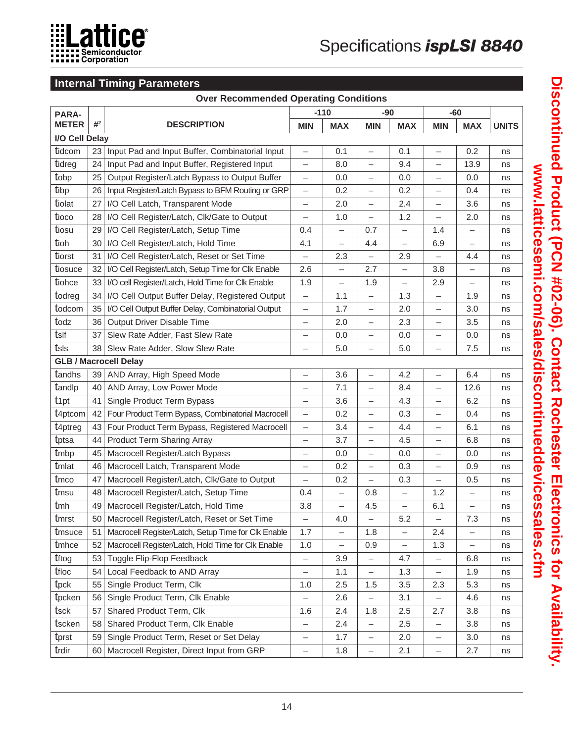

# **Internal Timing Parameters**

| <b>Over Recommended Operating Conditions</b> |       |                                                     |                          |                          |                          |                          |                          |                          |              |
|----------------------------------------------|-------|-----------------------------------------------------|--------------------------|--------------------------|--------------------------|--------------------------|--------------------------|--------------------------|--------------|
| <b>PARA-</b>                                 |       |                                                     |                          | $-110$                   | $-90$                    |                          | $-60$                    |                          |              |
| <b>METER</b>                                 | $#^2$ | <b>DESCRIPTION</b>                                  | <b>MIN</b>               | <b>MAX</b>               | <b>MIN</b>               | <b>MAX</b>               | <b>MIN</b>               | <b>MAX</b>               | <b>UNITS</b> |
| I/O Cell Delay                               |       |                                                     |                          |                          |                          |                          |                          |                          |              |
| tidcom                                       | 23    | Input Pad and Input Buffer, Combinatorial Input     | $\qquad \qquad -$        | 0.1                      | $\overline{\phantom{0}}$ | 0.1                      | $\overline{\phantom{0}}$ | 0.2                      | ns           |
| tidreg                                       | 24    | Input Pad and Input Buffer, Registered Input        | $\qquad \qquad -$        | 8.0                      | $\overline{\phantom{0}}$ | 9.4                      |                          | 13.9                     | ns           |
| tobp                                         | 25    | Output Register/Latch Bypass to Output Buffer       | $\qquad \qquad -$        | 0.0                      |                          | 0.0                      |                          | 0.0                      | ns           |
| tibp                                         | 26    | Input Register/Latch Bypass to BFM Routing or GRP   | $\qquad \qquad -$        | 0.2                      |                          | 0.2                      | $\overline{\phantom{0}}$ | 0.4                      | ns           |
| tiolat                                       | 27    | I/O Cell Latch, Transparent Mode                    | $\overline{\phantom{m}}$ | 2.0                      | $\qquad \qquad -$        | 2.4                      | $\qquad \qquad -$        | 3.6                      | ns           |
| tioco                                        | 28    | I/O Cell Register/Latch, Clk/Gate to Output         | $\overline{\phantom{0}}$ | 1.0                      | $\overline{\phantom{m}}$ | 1.2                      | $\overline{\phantom{0}}$ | 2.0                      | ns           |
| tiosu                                        | 29    | I/O Cell Register/Latch, Setup Time                 | 0.4                      | —                        | 0.7                      | —                        | 1.4                      |                          | ns           |
| tioh                                         | 30    | I/O Cell Register/Latch, Hold Time                  | 4.1                      | $\overline{\phantom{0}}$ | 4.4                      | $\overline{\phantom{0}}$ | 6.9                      | $\qquad \qquad -$        | ns           |
| tiorst                                       | 31    | I/O Cell Register/Latch, Reset or Set Time          | $\overline{\phantom{0}}$ | 2.3                      | $\qquad \qquad -$        | 2.9                      | $\overline{\phantom{0}}$ | 4.4                      | ns           |
| tiosuce                                      | 32    | I/O Cell Register/Latch, Setup Time for Clk Enable  | 2.6                      | $\overline{\phantom{0}}$ | 2.7                      |                          | 3.8                      |                          | ns           |
| tiohce                                       | 33    | I/O cell Register/Latch, Hold Time for Clk Enable   | 1.9                      | $\overline{\phantom{0}}$ | 1.9                      | —                        | 2.9                      | $\qquad \qquad -$        | ns           |
| todreg                                       | 34    | I/O Cell Output Buffer Delay, Registered Output     | $\qquad \qquad -$        | 1.1                      | $\qquad \qquad -$        | 1.3                      | $\overline{\phantom{0}}$ | 1.9                      | ns           |
| todcom                                       | 35    | I/O Cell Output Buffer Delay, Combinatorial Output  | $\qquad \qquad -$        | 1.7                      |                          | 2.0                      | $\overline{\phantom{0}}$ | 3.0                      | ns           |
| todz                                         | 36    | Output Driver Disable Time                          |                          | 2.0                      | $\overline{\phantom{0}}$ | 2.3                      | $\qquad \qquad -$        | 3.5                      | ns           |
| tsif                                         | 37    | Slew Rate Adder, Fast Slew Rate                     | $\overline{\phantom{m}}$ | 0.0                      | $\overline{\phantom{0}}$ | 0.0                      | $\qquad \qquad -$        | 0.0                      | ns           |
| tsls                                         | 38    | Slew Rate Adder, Slow Slew Rate                     | $\overline{\phantom{0}}$ | 5.0                      | $\overline{\phantom{0}}$ | 5.0                      |                          | 7.5                      | ns           |
|                                              |       | <b>GLB / Macrocell Delay</b>                        |                          |                          |                          |                          |                          |                          |              |
| tandhs                                       | 39    | AND Array, High Speed Mode                          | $\overline{\phantom{0}}$ | 3.6                      | $\overline{\phantom{0}}$ | 4.2                      | $\overline{\phantom{0}}$ | 6.4                      | ns           |
| tandlp                                       | 40    | AND Array, Low Power Mode                           | $\overline{\phantom{0}}$ | 7.1                      | $\overline{\phantom{0}}$ | 8.4                      | $\overline{\phantom{0}}$ | 12.6                     | ns           |
| t <sub>1pt</sub>                             | 41    | Single Product Term Bypass                          | $\qquad \qquad -$        | 3.6                      | $\overline{\phantom{0}}$ | 4.3                      | $\qquad \qquad -$        | 6.2                      | ns           |
| t <sub>4ptcom</sub>                          | 42    | Four Product Term Bypass, Combinatorial Macrocell   | $\overline{\phantom{m}}$ | 0.2                      | $\overline{\phantom{m}}$ | 0.3                      | $\overline{\phantom{0}}$ | 0.4                      | ns           |
| t <sub>4ptreg</sub>                          | 43    | Four Product Term Bypass, Registered Macrocell      | $\overline{\phantom{0}}$ | 3.4                      | $\overline{\phantom{0}}$ | 4.4                      | $\overline{\phantom{0}}$ | 6.1                      | ns           |
| tptsa                                        | 44    | <b>Product Term Sharing Array</b>                   |                          | 3.7                      | $\overline{\phantom{0}}$ | 4.5                      | $\qquad \qquad -$        | 6.8                      | ns           |
| tmbp                                         | 45    | Macrocell Register/Latch Bypass                     | $\overline{\phantom{0}}$ | 0.0                      | $\overline{\phantom{m}}$ | 0.0                      | $\overline{\phantom{0}}$ | 0.0                      | ns           |
| tmlat                                        | 46    | Macrocell Latch, Transparent Mode                   | $\overline{\phantom{0}}$ | 0.2                      | $\overline{\phantom{0}}$ | 0.3                      | $\overline{\phantom{0}}$ | 0.9                      | ns           |
| tmco                                         | 47    | Macrocell Register/Latch, Clk/Gate to Output        | $\overline{\phantom{0}}$ | 0.2                      |                          | 0.3                      | $\overline{\phantom{0}}$ | 0.5                      | ns           |
| tmsu                                         | 48    | Macrocell Register/Latch, Setup Time                | 0.4                      | $\overline{\phantom{0}}$ | 0.8                      | —                        | 1.2                      |                          | ns           |
| tmh                                          | 49    | Macrocell Register/Latch, Hold Time                 | 3.8                      | $\overline{\phantom{0}}$ | 4.5                      | $\overline{\phantom{0}}$ | 6.1                      | $\qquad \qquad -$        | ns           |
| tmrst                                        | 50    | Macrocell Register/Latch, Reset or Set Time         | $\qquad \qquad -$        | 4.0                      | $\qquad \qquad -$        | 5.2                      | $\qquad \qquad -$        | 7.3                      | ns           |
| tmsuce                                       | 51    | Macrocell Register/Latch, Setup Time for Clk Enable | 1.7                      |                          | 1.8                      |                          | 2.4                      |                          | ns           |
| tmhce                                        | 52    | Macrocell Register/Latch, Hold Time for Clk Enable  | 1.0                      | —                        | 0.9                      |                          | 1.3                      | $\overline{\phantom{0}}$ | ns           |
| tftog                                        | 53    | Toggle Flip-Flop Feedback                           | $\qquad \qquad -$        | 3.9                      | $\qquad \qquad -$        | 4.7                      | $\qquad \qquad -$        | 6.8                      | ns           |
| tfloc                                        | 54    | Local Feedback to AND Array                         | $\overline{\phantom{0}}$ | 1.1                      | $\qquad \qquad -$        | 1.3                      | $\overline{\phantom{0}}$ | 1.9                      | ns           |
| tpck                                         | 55    | Single Product Term, Clk                            | 1.0                      | 2.5                      | 1.5                      | 3.5                      | 2.3                      | 5.3                      | ns           |
| tpcken                                       | 56    | Single Product Term, Clk Enable                     |                          | 2.6                      | $\qquad \qquad -$        | 3.1                      |                          | 4.6                      | ns           |
| tsck                                         | 57    | Shared Product Term, Clk                            | 1.6                      | 2.4                      | 1.8                      | 2.5                      | 2.7                      | 3.8                      | ns           |
| tscken                                       | 58    | Shared Product Term, Clk Enable                     | $\qquad \qquad -$        | 2.4                      | $\qquad \qquad -$        | 2.5                      | $\qquad \qquad -$        | 3.8                      | ns           |
| tprst                                        | 59    | Single Product Term, Reset or Set Delay             | $\qquad \qquad -$        | 1.7                      | $\qquad \qquad -$        | 2.0                      | $\qquad \qquad -$        | 3.0                      | ns           |
| trdir                                        | 60    | Macrocell Register, Direct Input from GRP           | $\qquad \qquad -$        | 1.8                      | $\qquad \qquad -$        | 2.1                      | $\qquad \qquad -$        | 2.7                      | ns           |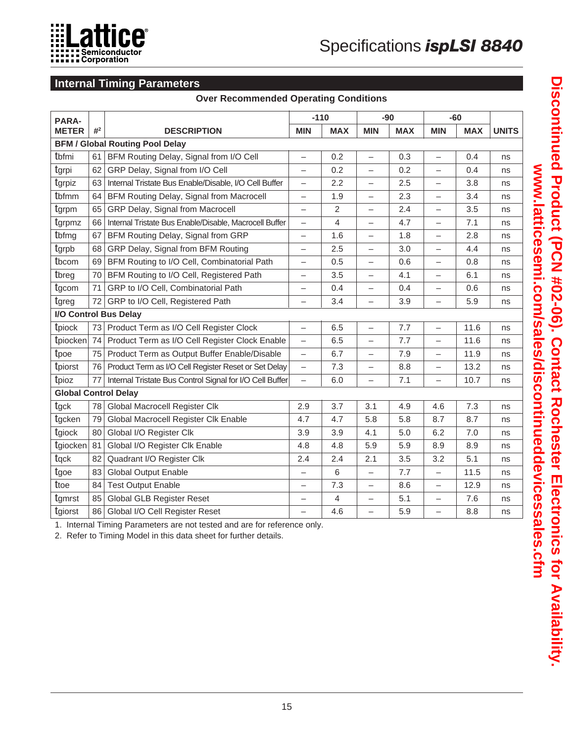

# **Internal Timing Parameters**

|                             |       | <b>Internal Timing Parameters</b>                        |                          |            |                          |            |                          |            |              |
|-----------------------------|-------|----------------------------------------------------------|--------------------------|------------|--------------------------|------------|--------------------------|------------|--------------|
|                             |       | <b>Over Recommended Operating Conditions</b>             |                          |            |                          |            |                          |            |              |
| <b>PARA-</b>                |       |                                                          | $-110$                   |            | $-90$                    |            | $-60$                    |            |              |
| <b>METER</b>                | $#^2$ | <b>DESCRIPTION</b>                                       | <b>MIN</b>               | <b>MAX</b> | <b>MIN</b>               | <b>MAX</b> | <b>MIN</b>               | <b>MAX</b> | <b>UNITS</b> |
|                             |       | <b>BFM / Global Routing Pool Delay</b>                   |                          |            |                          |            |                          |            |              |
| tbfmi                       | 61    | BFM Routing Delay, Signal from I/O Cell                  | $\overline{\phantom{0}}$ | 0.2        | $\overline{\phantom{0}}$ | 0.3        | $\overline{\phantom{0}}$ | 0.4        | ns           |
| tgrpi                       | 62    | GRP Delay, Signal from I/O Cell                          | $\overline{\phantom{0}}$ | 0.2        | $\overline{\phantom{0}}$ | 0.2        | $\overline{\phantom{0}}$ | 0.4        | ns           |
| tgrpiz                      | 63    | Internal Tristate Bus Enable/Disable, I/O Cell Buffer    | $\qquad \qquad -$        | 2.2        | $\overline{\phantom{0}}$ | 2.5        | $\overline{\phantom{0}}$ | 3.8        | ns           |
| tbfmm                       | 64    | BFM Routing Delay, Signal from Macrocell                 | -                        | 1.9        |                          | 2.3        |                          | 3.4        | ns           |
| tgrpm                       | 65    | GRP Delay, Signal from Macrocell                         | $\qquad \qquad -$        | 2          | $\overline{\phantom{0}}$ | 2.4        | $\overline{\phantom{0}}$ | 3.5        | ns           |
| tgrpmz                      | 66    | Internal Tristate Bus Enable/Disable, Macrocell Buffer   | $\overline{\phantom{0}}$ | 4          | $\overline{\phantom{0}}$ | 4.7        |                          | 7.1        | ns           |
| tbfmg                       | 67    | BFM Routing Delay, Signal from GRP                       | —                        | 1.6        | $\overline{\phantom{0}}$ | 1.8        | $\overline{\phantom{0}}$ | 2.8        | ns           |
| tgrpb                       | 68    | GRP Delay, Signal from BFM Routing                       | $\overline{\phantom{0}}$ | 2.5        | $\equiv$                 | 3.0        | $\overline{\phantom{0}}$ | 4.4        | ns           |
| tbcom                       | 69    | BFM Routing to I/O Cell, Combinatorial Path              | —                        | 0.5        | $\overline{\phantom{0}}$ | 0.6        | —                        | 0.8        | ns           |
| tbreg                       | 70    | <b>BFM Routing to I/O Cell, Registered Path</b>          | —                        | 3.5        | $\overline{\phantom{0}}$ | 4.1        | $\overline{\phantom{0}}$ | 6.1        | ns           |
| tgcom                       | 71    | GRP to I/O Cell, Combinatorial Path                      | $\overline{\phantom{0}}$ | 0.4        | $\overline{\phantom{0}}$ | 0.4        |                          | 0.6        | ns           |
| tgreg                       | 72    | GRP to I/O Cell, Registered Path                         | —                        | 3.4        | $\overline{\phantom{0}}$ | 3.9        | $\overline{\phantom{0}}$ | 5.9        | ns           |
|                             |       | I/O Control Bus Delay                                    |                          |            |                          |            |                          |            |              |
| tpiock                      | 73    | Product Term as I/O Cell Register Clock                  | $\overline{\phantom{0}}$ | 6.5        | $\overline{\phantom{0}}$ | 7.7        | $\overline{\phantom{0}}$ | 11.6       | ns           |
| tpiocken 74                 |       | Product Term as I/O Cell Register Clock Enable           | $\qquad \qquad -$        | 6.5        | $\overline{\phantom{0}}$ | 7.7        | $\overline{\phantom{0}}$ | 11.6       | ns           |
| tpoe                        | 75    | Product Term as Output Buffer Enable/Disable             | $\overline{\phantom{0}}$ | 6.7        | $\overline{\phantom{0}}$ | 7.9        |                          | 11.9       | ns           |
| tpiorst                     | 76    | Product Term as I/O Cell Register Reset or Set Delay     | $\overline{\phantom{a}}$ | 7.3        | $\overline{\phantom{0}}$ | 8.8        | —                        | 13.2       | ns           |
| tpioz                       | 77    | Internal Tristate Bus Control Signal for I/O Cell Buffer | $\qquad \qquad -$        | 6.0        | $\overline{\phantom{0}}$ | 7.1        | $\overline{\phantom{0}}$ | 10.7       | ns           |
| <b>Global Control Delay</b> |       |                                                          |                          |            |                          |            |                          |            |              |
| tgck                        | 78    | Global Macrocell Register Clk                            | 2.9                      | 3.7        | 3.1                      | 4.9        | 4.6                      | 7.3        | ns           |
| tgcken                      | 79    | Global Macrocell Register Clk Enable                     | 4.7                      | 4.7        | 5.8                      | 5.8        | 8.7                      | 8.7        | ns           |
| tgiock                      | 80    | Global I/O Register Clk                                  | 3.9                      | 3.9        | 4.1                      | 5.0        | 6.2                      | 7.0        | ns           |
| tgiocken                    | 81    | Global I/O Register Clk Enable                           | 4.8                      | 4.8        | 5.9                      | 5.9        | 8.9                      | 8.9        | ns           |
| tgck                        | 82    | Quadrant I/O Register Clk                                | 2.4                      | 2.4        | 2.1                      | 3.5        | 3.2                      | 5.1        | ns           |
| tgoe                        | 83    | <b>Global Output Enable</b>                              | $\overline{\phantom{0}}$ | $6\,$      | $\overline{\phantom{0}}$ | 7.7        | $\overline{\phantom{0}}$ | 11.5       | ns           |
| ttoe                        | 84    | <b>Test Output Enable</b>                                | —                        | 7.3        | $\overline{\phantom{0}}$ | 8.6        | $\overline{\phantom{0}}$ | 12.9       | ns           |

1. Internal Timing Parameters are not tested and are for reference only.

2. Refer to Timing Model in this data sheet for further details.

tgmrst 85 Global GLB Register Reset  $\begin{vmatrix} - & 4 & - & 5.1 & - & 7.6 \end{vmatrix}$  ns tgiorst 86 Global I/O Cell Register Reset  $\begin{vmatrix} - & 4.6 & - & 5.9 & - & 8.8 & \text{ns} \\ - & 4.6 & - & 5.9 & - & 8.8 & \text{ns} \end{vmatrix}$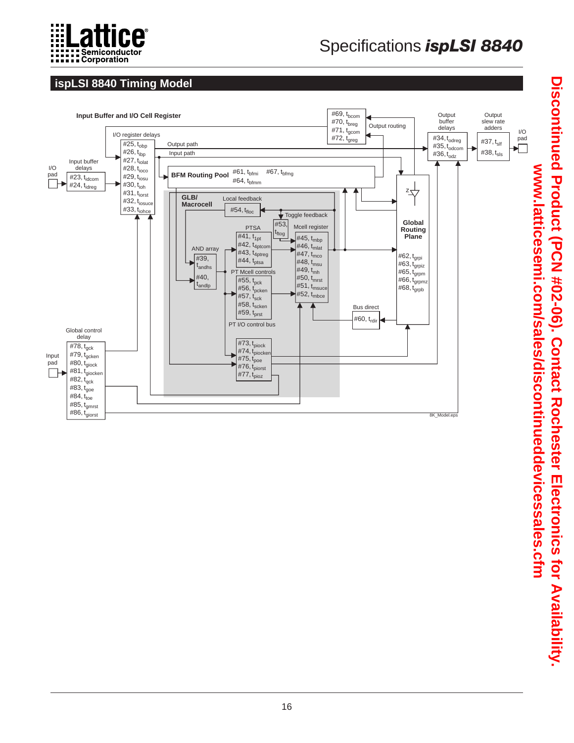

# Specifications *ispLSI 8840*

# **ispLSI 8840 Timing Model**

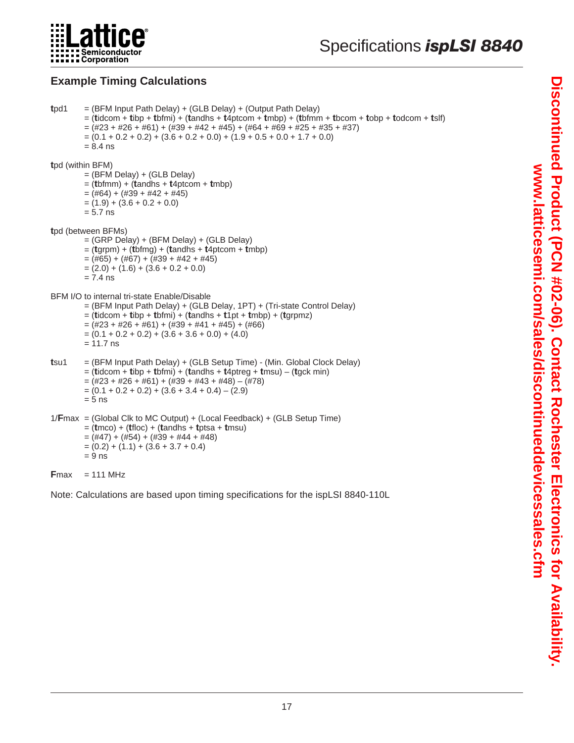

# **Example Timing Calculations**

```
tpd1 = (BFM Input Path Delay) + (GLB Delay) + (Output Path Delay)
         = (tidcom + tibp + tbfmi) + (tandhs + t4ptcom + tmbp) + (tbfmm + tbcom + tobp + todcom + tslf)
         =(\#23 + \#26 + \#61) + (\#39 + \#42 + \#45) + (\#64 + \#69 + \#25 + \#35 + \#37)=(0.1 + 0.2 + 0.2) + (3.6 + 0.2 + 0.0) + (1.9 + 0.5 + 0.0 + 1.7 + 0.0)= 8.4 ns
tpd (within BFM)
         = (BFM Delay) + (GLB Delay)
         = (tbfmm) + (tandhs + t4ptcom + tmbp)
         = (#64) + (#39 + #42 + #45)
         = (1.9) + (3.6 + 0.2 + 0.0)= 5.7 ns
tpd (between BFMs)
         = (GRP Delay) + (BFM Delay) + (GLB Delay)
         = (tgrpm) + (tbfmg) + (tandhs + t4ptcom + tmbp)
         = (#65) + (#67) + (#39 + #42 + #45)
         = (2.0) + (1.6) + (3.6 + 0.2 + 0.0)= 7.4 ns
BFM I/O to internal tri-state Enable/Disable
         = (BFM Input Path Delay) + (GLB Delay, 1PT) + (Tri-state Control Delay)
         = (tidcom + tibp + tbfmi) + (tandhs + t1pt + tmbp) + (tgrpmz)
         = (#23 + #26 + #61) + (#39 + #41 + #45) + (#66)
         =(0.1 + 0.2 + 0.2) + (3.6 + 3.6 + 0.0) + (4.0)= 11.7 ns
tsu1 = (BFM Input Path Delay) + (GLB Setup Time) - (Min. Global Clock Delay)
         = (tidcom + tibp + tbfmi) + (tandhs + t4ptreg + tmsu) – (tgck min)
         = (\#23 + \#26 + \#61) + (\#39 + \#43 + \#48) - (\#78)=(0.1 + 0.2 + 0.2) + (3.6 + 3.4 + 0.4) - (2.9)= 5 ns
1/Fmax = (Global Clk to MC Output) + (Local Feedback) + (GLB Setup Time)
         = (tmco) + (tfloc) + (tandhs + tptsa + tmsu)
         = (\#47) + (\#54) + (\#39 + \#44 + \#48)= (0.2) + (1.1) + (3.6 + 3.7 + 0.4)= 9 ns
Fmax = 111 MHz
```
Note: Calculations are based upon timing specifications for the ispLSI 8840-110L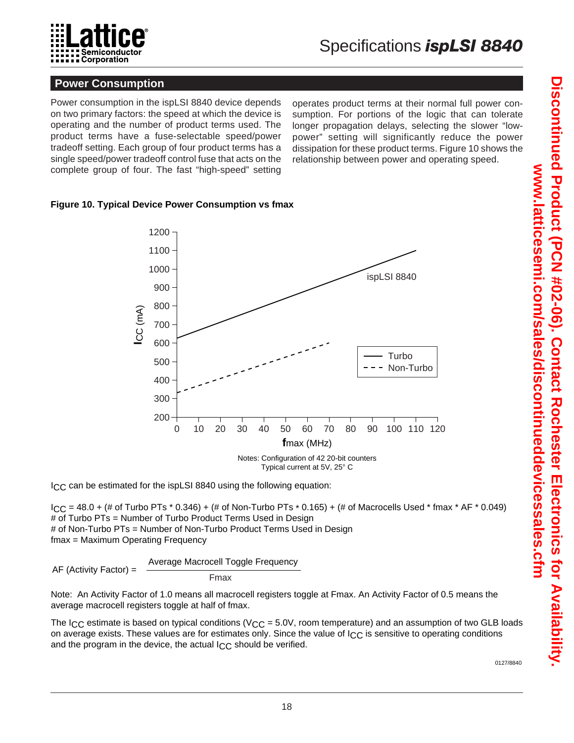

#### **Power Consumption**

Power consumption in the ispLSI 8840 device depends on two primary factors: the speed at which the device is operating and the number of product terms used. The product terms have a fuse-selectable speed/power tradeoff setting. Each group of four product terms has a single speed/power tradeoff control fuse that acts on the complete group of four. The fast "high-speed" setting

operates product terms at their normal full power consumption. For portions of the logic that can tolerate longer propagation delays, selecting the slower "lowpower" setting will significantly reduce the power dissipation for these product terms. Figure 10 shows the relationship between power and operating speed.

#### **Figure 10. Typical Device Power Consumption vs fmax**



ICC can be estimated for the ispLSI 8840 using the following equation:

 $ICC = 48.0 + (\# of)$  Turbo PTs  $*$  0.346) + (# of Non-Turbo PTs  $*$  0.165) + (# of Macrocells Used  $*$  fmax  $*$  AF  $*$  0.049) # of Turbo PTs = Number of Turbo Product Terms Used in Design # of Non-Turbo PTs = Number of Non-Turbo Product Terms Used in Design fmax = Maximum Operating Frequency

$$
AF (Activity Factor) = \frac{Average Marcel Toggle Frequency}{Fmax}
$$

Note: An Activity Factor of 1.0 means all macrocell registers toggle at Fmax. An Activity Factor of 0.5 means the average macrocell registers toggle at half of fmax.

The I<sub>CC</sub> estimate is based on typical conditions ( $V_{CC} = 5.0V$ , room temperature) and an assumption of two GLB loads on average exists. These values are for estimates only. Since the value of  $\log c$  is sensitive to operating conditions and the program in the device, the actual I<sub>CC</sub> should be verified.

0127/8840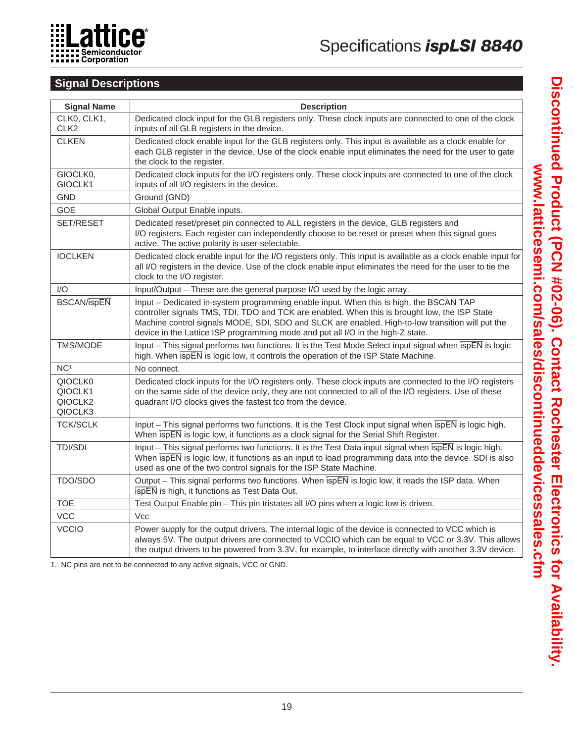

# **Signal Descriptions**

| <b>Signal Name</b>                                   | <b>Description</b>                                                                                                                                                                                                                                                                                                                                                             |
|------------------------------------------------------|--------------------------------------------------------------------------------------------------------------------------------------------------------------------------------------------------------------------------------------------------------------------------------------------------------------------------------------------------------------------------------|
| CLK0, CLK1,<br>CLK <sub>2</sub>                      | Dedicated clock input for the GLB registers only. These clock inputs are connected to one of the clock<br>inputs of all GLB registers in the device.                                                                                                                                                                                                                           |
| <b>CLKEN</b>                                         | Dedicated clock enable input for the GLB registers only. This input is available as a clock enable for<br>each GLB register in the device. Use of the clock enable input eliminates the need for the user to gate<br>the clock to the register.                                                                                                                                |
| GIOCLK0,<br>GIOCLK1                                  | Dedicated clock inputs for the I/O registers only. These clock inputs are connected to one of the clock<br>inputs of all I/O registers in the device.                                                                                                                                                                                                                          |
| <b>GND</b>                                           | Ground (GND)                                                                                                                                                                                                                                                                                                                                                                   |
| <b>GOE</b>                                           | Global Output Enable inputs.                                                                                                                                                                                                                                                                                                                                                   |
| SET/RESET                                            | Dedicated reset/preset pin connected to ALL registers in the device, GLB registers and<br>I/O registers. Each register can independently choose to be reset or preset when this signal goes<br>active. The active polarity is user-selectable.                                                                                                                                 |
| <b>IOCLKEN</b>                                       | Dedicated clock enable input for the I/O registers only. This input is available as a clock enable input for<br>all I/O registers in the device. Use of the clock enable input eliminates the need for the user to tie the<br>clock to the I/O register.                                                                                                                       |
| I/O                                                  | Input/Output - These are the general purpose I/O used by the logic array.                                                                                                                                                                                                                                                                                                      |
| <b>BSCAN/ispEN</b>                                   | Input - Dedicated in-system programming enable input. When this is high, the BSCAN TAP<br>controller signals TMS, TDI, TDO and TCK are enabled. When this is brought low, the ISP State<br>Machine control signals MODE, SDI, SDO and SLCK are enabled. High-to-low transition will put the<br>device in the Lattice ISP programming mode and put all I/O in the high-Z state. |
| TMS/MODE                                             | Input – This signal performs two functions. It is the Test Mode Select input signal when $\overline{ispEN}$ is logic<br>high. When $\overline{s}$ is logic low, it controls the operation of the ISP State Machine.                                                                                                                                                            |
| NC <sup>1</sup>                                      | No connect.                                                                                                                                                                                                                                                                                                                                                                    |
| QIOCLK0<br>QIOCLK1<br>QIOCLK <sub>2</sub><br>QIOCLK3 | Dedicated clock inputs for the I/O registers only. These clock inputs are connected to the I/O registers<br>on the same side of the device only, they are not connected to all of the I/O registers. Use of these<br>quadrant I/O clocks gives the fastest tco from the device.                                                                                                |
| <b>TCK/SCLK</b>                                      | Input - This signal performs two functions. It is the Test Clock input signal when $\overline{s}$ p is logic high.<br>When $\overline{ispEN}$ is logic low, it functions as a clock signal for the Serial Shift Register.                                                                                                                                                      |
| <b>TDI/SDI</b>                                       | Input - This signal performs two functions. It is the Test Data input signal when $\overline{ispEN}$ is logic high.<br>When ispEN is logic low, it functions as an input to load programming data into the device. SDI is also<br>used as one of the two control signals for the ISP State Machine.                                                                            |
| TDO/SDO                                              | Output – This signal performs two functions. When $\overline{s}$ pEN is logic low, it reads the ISP data. When<br>ispEN is high, it functions as Test Data Out.                                                                                                                                                                                                                |
| <b>TOE</b>                                           | Test Output Enable pin - This pin tristates all I/O pins when a logic low is driven.                                                                                                                                                                                                                                                                                           |
| <b>VCC</b>                                           | <b>Vcc</b>                                                                                                                                                                                                                                                                                                                                                                     |
| <b>VCCIO</b>                                         | Power supply for the output drivers. The internal logic of the device is connected to VCC which is<br>always 5V. The output drivers are connected to VCCIO which can be equal to VCC or 3.3V. This allows<br>the output drivers to be powered from 3.3V, for example, to interface directly with another 3.3V device.                                                          |

1. NC pins are not to be connected to any active signals, VCC or GND.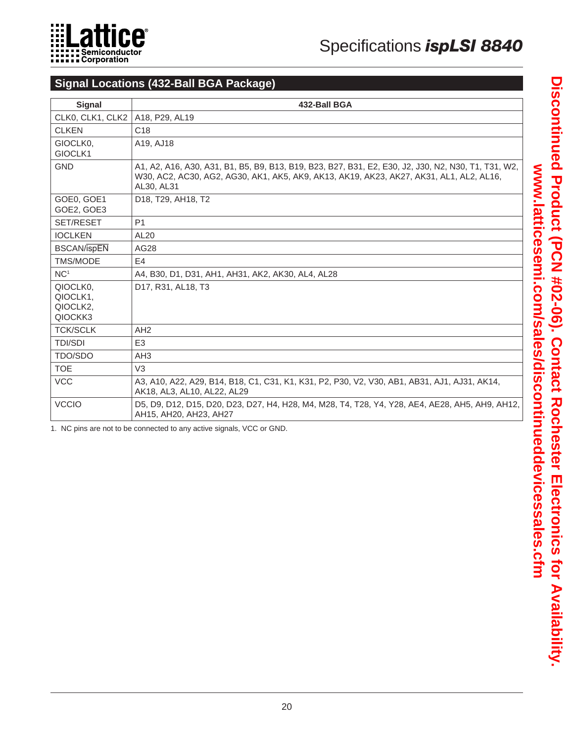

# **Signal Locations (432-Ball BGA Package)**

| <b>Signal</b>                               | 432-Ball BGA                                                                                                                                                                                                 |
|---------------------------------------------|--------------------------------------------------------------------------------------------------------------------------------------------------------------------------------------------------------------|
| CLK0, CLK1, CLK2                            | A18, P29, AL19                                                                                                                                                                                               |
| <b>CLKEN</b>                                | C <sub>18</sub>                                                                                                                                                                                              |
| GIOCLK0.<br>GIOCLK1                         | A19, AJ18                                                                                                                                                                                                    |
| <b>GND</b>                                  | A1, A2, A16, A30, A31, B1, B5, B9, B13, B19, B23, B27, B31, E2, E30, J2, J30, N2, N30, T1, T31, W2,<br>W30, AC2, AC30, AG2, AG30, AK1, AK5, AK9, AK13, AK19, AK23, AK27, AK31, AL1, AL2, AL16,<br>AL30, AL31 |
| GOE0, GOE1<br>GOE2, GOE3                    | D <sub>18</sub> , T <sub>29</sub> , AH <sub>18</sub> , T <sub>2</sub>                                                                                                                                        |
| <b>SET/RESET</b>                            | P <sub>1</sub>                                                                                                                                                                                               |
| <b>IOCLKEN</b>                              | <b>AL20</b>                                                                                                                                                                                                  |
| <b>BSCAN/ispEN</b>                          | AG28                                                                                                                                                                                                         |
| <b>TMS/MODE</b>                             | E4                                                                                                                                                                                                           |
| NC <sup>1</sup>                             | A4, B30, D1, D31, AH1, AH31, AK2, AK30, AL4, AL28                                                                                                                                                            |
| QIOCLK0.<br>QIOCLK1,<br>QIOCLK2,<br>QIOCKK3 | D <sub>17</sub> , R <sub>31</sub> , AL <sub>18</sub> , T <sub>3</sub>                                                                                                                                        |
| <b>TCK/SCLK</b>                             | AH <sub>2</sub>                                                                                                                                                                                              |
| <b>TDI/SDI</b>                              | E <sub>3</sub>                                                                                                                                                                                               |
| TDO/SDO                                     | AH <sub>3</sub>                                                                                                                                                                                              |
| <b>TOE</b>                                  | V <sub>3</sub>                                                                                                                                                                                               |
| <b>VCC</b>                                  | A3, A10, A22, A29, B14, B18, C1, C31, K1, K31, P2, P30, V2, V30, AB1, AB31, AJ1, AJ31, AK14,<br>AK18, AL3, AL10, AL22, AL29                                                                                  |
| <b>VCCIO</b>                                | D5, D9, D12, D15, D20, D23, D27, H4, H28, M4, M28, T4, T28, Y4, Y28, AE4, AE28, AH5, AH9, AH12,<br>AH15, AH20, AH23, AH27                                                                                    |

1. NC pins are not to be connected to any active signals, VCC or GND.

Discontinued Product (PCN #02-06). Contact Rochester Electronics for Availability. **Discontinued Product (PCN #02-06). Contact Rochester Electronics for Availability.**  www.latticesemi.com/sales/discontinueddevicessales.cfm **www.latticesemi.com/sales/discontinueddevicessales.cfm**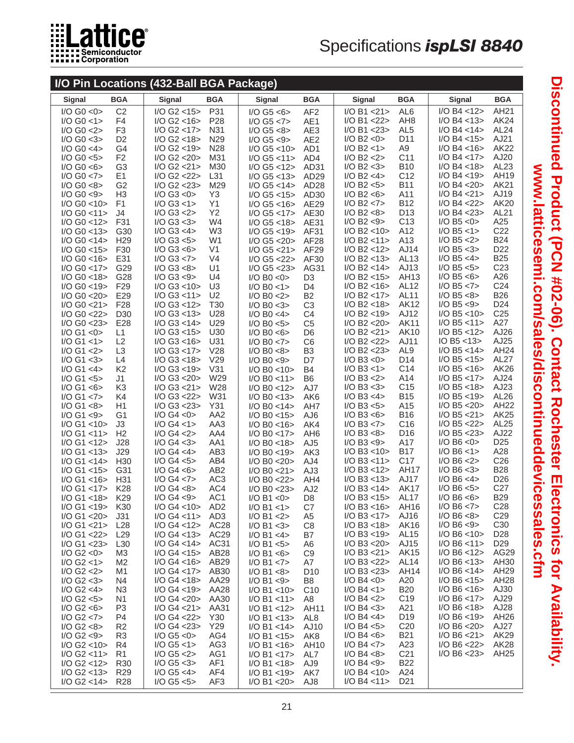

# Specifications *ispLSI 8840*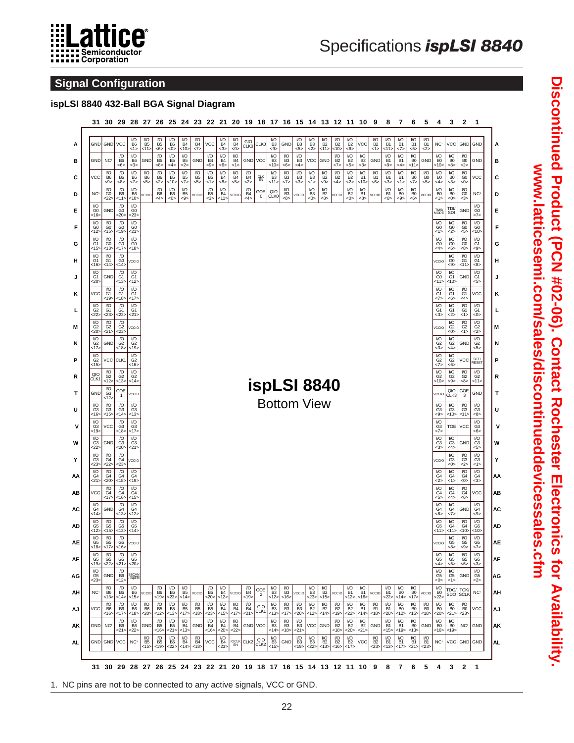

# Specifications *ispLSI 8840*

### **Signal Configuration**

# **ispLSI 8840 432-Ball BGA Signal Diagram**

|    |                                                   | GND GND VCC                                   |                                                          | I/O                                               | I/O                    | I/O                                   | I/O                                                | I/O                            | I/O                               |                              | IЮ                           | I/O                            | GIO                       |                      | $\frac{\text{I/O}}{\text{B3}}$            |                                                                          | <b>I/O</b>                                              | I/O                            |                                                                                                                                              | $\frac{1}{2}$ B <sub>2</sub>                        | I/O                                     | <b>VCC</b>                                                      | $\frac{\mathsf{I/O}}{\mathsf{B2}}$ | I/O                                    | I/O                                                 | I/O                                   | I/O                              |                                                    |                                      |                                               | GND GND                               |
|----|---------------------------------------------------|-----------------------------------------------|----------------------------------------------------------|---------------------------------------------------|------------------------|---------------------------------------|----------------------------------------------------|--------------------------------|-----------------------------------|------------------------------|------------------------------|--------------------------------|---------------------------|----------------------|-------------------------------------------|--------------------------------------------------------------------------|---------------------------------------------------------|--------------------------------|----------------------------------------------------------------------------------------------------------------------------------------------|-----------------------------------------------------|-----------------------------------------|-----------------------------------------------------------------|------------------------------------|----------------------------------------|-----------------------------------------------------|---------------------------------------|----------------------------------|----------------------------------------------------|--------------------------------------|-----------------------------------------------|---------------------------------------|
| А  |                                                   |                                               | I/O                                                      | B <sub>6</sub><br><1><br>$\frac{1}{10}$           | B <sub>5</sub><br><11> | B <sub>5</sub><br><6><br>I/O          | B <sub>5</sub><br><0><br>I/O                       | B <sub>4</sub><br><10<br>I/O   | B <sub>4</sub><br><7>             | <b>VCC</b><br>I/O            | B <sub>4</sub><br>$3$<br>I/O | B <sub>4</sub><br><0><br>I/O   | CLK0                      | CLK0                 | < 9<br>I/O                                | GND<br>I/O                                                               | B <sub>3</sub><br><5><br>I/O                            | B <sub>3</sub><br><2>          | $\frac{1}{10}$<br>$< 11$                                                                                                                     | <10><br>$\frac{1}{10}$                              | B <sub>2</sub><br><6><br>$\frac{1}{10}$ | I/O                                                             | <1>                                | <b>B1</b><br><11><br>I/O               | <b>B1</b><br><7><br>I/O                             | B1<br>5<br>I/O                        | B1<br><2>                        | NC <sup>1</sup><br>I/O                             | VCC<br>I/O                           | I/O                                           |                                       |
| в  | GND                                               | NC <sup>1</sup><br>I/O                        | B <sub>6</sub><br><6>                                    | <3>                                               | GND<br>I/O             | B <sub>5</sub><br>-8>                 | B <sub>5</sub><br><4><br>I/O                       | B <sub>5</sub><br>2<br>I/O     | GND                               | B <sub>4</sub><br><9><br>I/O | B <sub>4</sub><br><6><br>I/O | B4<br><1><br>I/O               | GND<br>I/O                | VCC                  | B <sub>3</sub><br><10><br>I/O             | B <sub>3</sub><br><6>                                                    | B <sub>3</sub><br><4><br>I/O                            | <b>VCC</b><br>I/O              | GND                                                                                                                                          | <7><br>I/O                                          | <5><br>I/O                              | B <sub>2</sub><br>$3$<br>I/O                                    | GND<br>I/O                         | <b>B1</b><br><9><br>I/O                | <b>B1</b><br>4<br>I/O                               | B <sub>0</sub><br><11><br>I/O         | GND<br>I/O                       | B <sub>0</sub><br><10∶<br>I/O                      | B <sub>0</sub><br><8><br>I/O         | B <sub>0</sub><br><2><br>I/O                  | GND                                   |
| C  | <b>VCC</b>                                        | $rac{B6}{58}$                                 | $\frac{1}{6}$<br>$<8>$                                   | $\frac{1}{100}$ B6<br><7>                         | $-55$                  | $\frac{1}{100}$ B6<br><2>             | $-10$                                              | $-185$<br><7>                  | $rac{1}{3}$                       | $-15$<br><1>                 | $rac{B4}{8}$                 | $-54$<br>$55$                  | $rac{B4}{52}$             | <b>CLK</b><br>EN     | $-115$                                    | $\frac{1}{10}$<br>$\frac{1}{5}$<br>$\frac{1}{5}$                         | $-83$<br>$-3>$                                          | $-83$<br><1>                   | $\frac{1}{2}$<br>$\leq 9$                                                                                                                    | $\frac{B2}{54}$                                     | $rac{B2}{52}$                           | $\frac{B1}{51}$                                                 | B <sub>1</sub><br><6>              | $rac{B1}{3}$                           | $\frac{181}{51}$                                    | $\frac{B0}{57}$                       | $rac{B0}{5}$                     | $\frac{180}{64}$                                   | $-80$<br>$-3$                        | $\frac{60}{50}$                               | VCC                                   |
| D  | NC <sup>1</sup>                                   | $\frac{1}{60}$<br><22>                        | $\frac{1}{10}$<br><11>                                   | $\frac{1}{100}$<br><10>                           | VCCIO                  | $\frac{\text{I/O}}{\text{B6}}$ <4>    | $\frac{100}{100}$                                  | $\frac{1}{85}$<br><9>          | VCCIO                             | $\frac{1}{2}$<br>$-3$        | $\frac{10}{64}$<br><11>      | VCCIO                          | $\frac{1}{6}$<br>$\leq 4$ | $_{0}^{\rm GOE}$     | CLK0                                      | $\frac{1}{83}$<br><8>                                                    | VCCIO                                                   | $^{1/0}_{B3}$<br><0>           | $\frac{1}{10}$<br>$<8>$                                                                                                                      | vccio                                               | $\frac{\text{I/O}}{\text{B2}}$<br><0>   | $\frac{1}{10}$<br>$\leq 8$                                      | VCCIO                              | $^{1/0}_{B1}$<br><0>                   | $\begin{array}{c}\n 10 \\  80 \\  -9\n \end{array}$ | $\frac{\text{I/O}}{\text{B0}}$<br><6> | VCCIO                            | $\frac{\text{V}{\text{O}}}{\text{B}}$<br><1>       | $\frac{\rm I/O}{\rm BO}$<br><0>      | $\frac{\text{V}{\text{O}}}{\text{G0}}$<br>$3$ | NC <sup>1</sup><br>I/O                |
| Е  | $\frac{\mathsf{I/O}}{\mathsf{GO}}$<br><16         | GND                                           | $\frac{1}{00}$<br><20>                                   | $\frac{1}{60}$<br>23                              |                        |                                       |                                                    |                                |                                   |                              |                              |                                |                           |                      |                                           |                                                                          |                                                         |                                |                                                                                                                                              |                                                     |                                         |                                                                 |                                    |                                        |                                                     |                                       |                                  | <b>TMS</b><br>MODE                                 | TDI/<br>SDI                          | GND                                           | G <sub>0</sub><br><7>                 |
| F  | $\frac{\mathsf{I/O}}{\mathsf{GO}}$<br><12><br>I/O | $\frac{\text{I/O}}{\text{G0}}$<br><15><br>I/O | $\begin{array}{c}\n 10 \\  60 \\  19\n\end{array}$       | $\frac{\text{I/O}}{\text{GO}}$<br><21>            |                        |                                       |                                                    |                                |                                   |                              |                              |                                |                           |                      |                                           |                                                                          |                                                         |                                |                                                                                                                                              |                                                     |                                         |                                                                 |                                    |                                        |                                                     |                                       |                                  | $\frac{\text{VO}}{\text{GO}}$<br><1><br>I/O        | $\frac{\rm I/O}{\rm GO}$<br>$2$      | $\frac{10}{60}$                               | $\frac{1}{60}$<br><10<br>I/O          |
| G  | G1<br><15>                                        | $^{G0}_{513}$                                 | $\frac{10}{60}$                                          | $\frac{1}{90}$<br><18>                            |                        |                                       |                                                    |                                |                                   |                              |                              |                                |                           |                      |                                           |                                                                          |                                                         |                                |                                                                                                                                              |                                                     |                                         |                                                                 |                                    |                                        |                                                     |                                       |                                  | G <sub>0</sub><br><4>                              | $\frac{10}{60}$<br><6>               | $\frac{1}{10}$<br><8>                         | G <sub>1</sub><br><9><br>I/O          |
| н  | I/O<br>$rac{61}{16}$                              | $\frac{10}{61}$ s1<br><14>                    | $\begin{array}{c}\n\hline\n10 \\ G0 \\ <14\n\end{array}$ | VCCIO                                             |                        |                                       |                                                    |                                |                                   |                              |                              |                                |                           |                      |                                           |                                                                          |                                                         |                                |                                                                                                                                              |                                                     |                                         |                                                                 |                                    |                                        |                                                     |                                       |                                  | VCCIO                                              | $rac{10}{60}$                        | $\frac{10}{61}$                               | $rac{G1}{88}$                         |
| J  | I/O<br>G1<br><20>                                 | GND                                           | I/O<br>G1<br><13>                                        | I/O<br>G <sub>1</sub><br><12                      |                        |                                       |                                                    |                                |                                   |                              |                              |                                |                           |                      |                                           |                                                                          |                                                         |                                |                                                                                                                                              |                                                     |                                         |                                                                 |                                    |                                        |                                                     |                                       |                                  | I/O<br>$\frac{G0}{51}$                             | $\frac{1}{61}$<br><10                | GND                                           | I/O<br>G <sub>1</sub><br>5>           |
| κ  | <b>VCC</b>                                        | I/O<br>G1<br><19>                             | $^{1/0}_{G1}$<br><18>                                    | $\frac{1}{61}$<br><17                             |                        |                                       |                                                    |                                |                                   |                              |                              |                                |                           |                      |                                           |                                                                          |                                                         |                                |                                                                                                                                              |                                                     |                                         |                                                                 |                                    |                                        |                                                     |                                       |                                  | I/O<br>G1<br><7>                                   | $\frac{1}{61}$<br><6>                | $\frac{1}{10}$<br>4                           | VCC                                   |
| г  | I/O<br>G2<br>22                                   | $\frac{1}{10}$<br>$23$                        | I/O<br>G1<br>22                                          | I/O<br>G1<br><21>                                 |                        |                                       |                                                    |                                |                                   |                              |                              |                                |                           |                      |                                           |                                                                          |                                                         |                                |                                                                                                                                              |                                                     |                                         |                                                                 |                                    |                                        |                                                     |                                       |                                  | $\frac{1}{10}$<br>$3$                              | $\frac{1}{10}$<br>$2$                | I/O<br>G1<br><1>                              | $\frac{1}{10}$<br><0>                 |
| M  | I/O<br>G2<br>د20:                                 | $\frac{1}{10}$<br>21                          | I/O<br>G <sub>2</sub><br><23>                            | VCCIO                                             |                        |                                       |                                                    |                                |                                   |                              |                              |                                |                           |                      |                                           |                                                                          |                                                         |                                |                                                                                                                                              |                                                     |                                         |                                                                 |                                    |                                        |                                                     |                                       |                                  | VCCIO                                              | I/O<br>G <sub>2</sub><br><0>         | I/O<br>G <sub>2</sub><br><1>                  | I/O<br>G <sub>2</sub><br>$2>$         |
| N  | $\frac{1}{\sqrt{10}}$<br>$\frac{1}{\sqrt{10}}$    | GND                                           | $\frac{10}{62}$ <18>                                     | $\frac{1}{0.62}$<br><19>                          |                        |                                       |                                                    |                                |                                   |                              |                              |                                |                           |                      |                                           |                                                                          |                                                         |                                |                                                                                                                                              |                                                     |                                         |                                                                 |                                    |                                        |                                                     |                                       |                                  | I/O<br>$\frac{G2}{3}$                              | $\frac{10}{62}$                      | GND                                           | I/O<br>G <sub>2</sub><br>5>           |
| P  | I/O<br>G <sub>2</sub><br><15>                     | VCC CLK1                                      |                                                          | I/O<br>G <sub>2</sub><br><16                      |                        |                                       |                                                    |                                |                                   |                              |                              |                                |                           |                      |                                           |                                                                          |                                                         |                                |                                                                                                                                              |                                                     |                                         |                                                                 |                                    |                                        |                                                     |                                       |                                  | $\frac{10}{100}$                                   | $\frac{10}{100}$                     | <b>VCC</b>                                    | SET/<br>RESE                          |
| R  | QIO<br>CLK1                                       | $\frac{1}{62}$<br><12>                        | $\frac{\text{IO}}{\text{G2}}$<br><13>                    | $\frac{1}{2}$<br><14                              |                        |                                       |                                                    |                                |                                   |                              |                              |                                |                           |                      |                                           |                                                                          |                                                         |                                |                                                                                                                                              |                                                     |                                         |                                                                 |                                    |                                        |                                                     |                                       |                                  | $^{1/0}_{G2}$<br><10                               | $\frac{\text{IO}}{\text{G2}}$<br><9> | $\frac{\text{I/O}}{\text{G2}}$<br><8>         | $\frac{\text{IO}}{\text{G2}}$<br><11> |
| т  | GND                                               | $\frac{1}{63}$<br><12                         | $rac{GOE}{1}$                                            | VCCIO                                             |                        |                                       |                                                    |                                |                                   |                              |                              |                                |                           |                      |                                           |                                                                          |                                                         | ispLSI 8840                    |                                                                                                                                              |                                                     |                                         |                                                                 |                                    |                                        |                                                     |                                       |                                  | VCCIO                                              | QIO<br>CLK3                          | $rac{GOE}{3}$                                 | GND                                   |
| U  | I/O<br>G3<br><16>                                 | $\frac{1}{63}$<br><15>                        | $\frac{1}{63}$<br><14>                                   | $\frac{1}{63}$<br><13>                            |                        |                                       |                                                    |                                |                                   |                              |                              |                                |                           |                      |                                           |                                                                          |                                                         | <b>Bottom View</b>             |                                                                                                                                              |                                                     |                                         |                                                                 |                                    |                                        |                                                     |                                       |                                  | $\frac{1}{2}$<br>-9>                               | $\frac{10}{63}$<br><10>              | $\frac{1}{63}$<br><11>                        | I/O<br>G <sub>3</sub><br><8>          |
| ٧  | I/O<br>$rac{63}{53}$                              | VCC                                           | $\begin{array}{c}\n\hline\n10 \\ G3 \\ <18\n\end{array}$ | $\frac{10}{63}$ <17>                              |                        |                                       |                                                    |                                |                                   |                              |                              |                                |                           |                      |                                           |                                                                          |                                                         |                                |                                                                                                                                              |                                                     |                                         |                                                                 |                                    |                                        |                                                     |                                       |                                  | I/O<br>$\frac{G3}{57}$                             | <b>TOE</b>                           | VCC                                           | I/O<br>G <sub>3</sub><br><6>          |
| W  | I/O<br>G <sub>3</sub><br>22                       | GND                                           | I/O<br>G <sub>3</sub><br><20>                            | $\mathsf{I}/\mathsf{O}$<br>G <sub>3</sub><br><21> |                        |                                       |                                                    |                                |                                   |                              |                              |                                |                           |                      |                                           |                                                                          |                                                         |                                |                                                                                                                                              |                                                     |                                         |                                                                 |                                    |                                        |                                                     |                                       |                                  | I/O<br>$\frac{G3}{3}$                              | I/O<br>G <sub>3</sub><br>4>          | GND                                           | I/O<br>G <sub>3</sub><br>5>           |
| Υ  | $\frac{\text{I/O}}{\text{G3}}$<br>23              | $_{\rm G4}^{\rm I/O}$<br>22                   | $^{1/0}_{G4}$<br>23                                      | VCCIO                                             |                        |                                       |                                                    |                                |                                   |                              |                              |                                |                           |                      |                                           |                                                                          |                                                         |                                |                                                                                                                                              |                                                     |                                         |                                                                 |                                    |                                        |                                                     |                                       |                                  | VCCIO                                              | I/O<br>G <sub>3</sub><br><0>         | $\frac{1}{63}$<br>2>                          | I/O<br>G <sub>3</sub><br><1>          |
| AA | $\frac{\mathsf{IO}}{\mathsf{G4}}$<br><21>         | I/O<br>G4<br><20                              | I/O<br>G4<br><18>                                        | I/O<br>G4<br><19>                                 |                        |                                       |                                                    |                                |                                   |                              |                              |                                |                           |                      |                                           |                                                                          |                                                         |                                |                                                                                                                                              |                                                     |                                         |                                                                 |                                    |                                        |                                                     |                                       |                                  | $\frac{\mathsf{IO}}{\mathsf{G4}}$<br>$2$           | I/O<br>G4<br><1>                     | $\frac{\text{NO}}{\text{G4}}$<br><0>          | I/O<br>G4<br><3>                      |
| AB | VCC                                               | I/O<br>G4<br><17>                             | I/O<br>G4<br><16>                                        | I/O<br>G4<br><15>                                 |                        |                                       |                                                    |                                |                                   |                              |                              |                                |                           |                      |                                           |                                                                          |                                                         |                                |                                                                                                                                              |                                                     |                                         |                                                                 |                                    |                                        |                                                     |                                       |                                  | I/O<br>G4<br>5>                                    | I/O<br>G4<br><4>                     | $\frac{\text{I/O}}{\text{G4}}$<br><6>         | VCC                                   |
| AC | $\frac{1}{0.04}$<br><14>                          | GND                                           | $\frac{10}{64}$ <13>                                     | $\frac{10}{64}$ <12>                              |                        |                                       |                                                    |                                |                                   |                              |                              |                                |                           |                      |                                           |                                                                          |                                                         |                                |                                                                                                                                              |                                                     |                                         |                                                                 |                                    |                                        |                                                     |                                       |                                  | $\frac{10}{64}$                                    | $\frac{10}{64}$                      | GND                                           | I/O<br>$rac{64}{58}$                  |
| AD | I/O<br>G <sub>5</sub><br><12                      | I/O<br>G5<br><15>                             | $rac{1}{65}$<br><13>                                     | I/O<br>G <sub>5</sub><br><14>                     |                        |                                       |                                                    |                                |                                   |                              |                              |                                |                           |                      |                                           |                                                                          |                                                         |                                |                                                                                                                                              |                                                     |                                         |                                                                 |                                    |                                        |                                                     |                                       |                                  | I/O<br>G <sub>5</sub><br> 11                       | $\frac{10}{64}$ <11>                 | $\frac{1}{64}$<br><10>                        | <b>VO</b><br>G <sub>5</sub><br><10>   |
| AE | $\frac{10}{65}$<br><18>                           | $\frac{1}{65}$<br><17>                        | $\frac{1}{0.05}$<br><16>                                 | vccio                                             |                        |                                       |                                                    |                                |                                   |                              |                              |                                |                           |                      |                                           |                                                                          |                                                         |                                |                                                                                                                                              |                                                     |                                         |                                                                 |                                    |                                        |                                                     |                                       |                                  | VCCIC                                              | $\frac{10}{65}$<br><8>               | $rac{10}{65}$                                 | $\frac{1}{0.05}$<br><7>               |
| AF | $\frac{10}{65}$ <19>                              | $\frac{10}{65}$ <22>                          | $\frac{10}{65}$<br><21>                                  | $\frac{\text{I/O}}{\text{G5}}$<br><20             |                        |                                       |                                                    |                                |                                   |                              |                              |                                |                           |                      |                                           |                                                                          |                                                         |                                |                                                                                                                                              |                                                     |                                         |                                                                 |                                    |                                        |                                                     |                                       |                                  | $\frac{100}{G5}$<br><4>                            | $rac{10}{65}$                        | $rac{10}{65}$                                 | $\frac{1}{65}$                        |
| AG | $\frac{10}{65}$                                   | GND                                           | $\frac{1}{10}$                                           | BSCAN<br>/ ispEN                                  |                        |                                       |                                                    |                                |                                   |                              |                              |                                |                           |                      |                                           |                                                                          |                                                         |                                |                                                                                                                                              |                                                     |                                         |                                                                 |                                    |                                        |                                                     |                                       |                                  | $\frac{1}{65}$<br><0>                              | $\frac{10}{100}$                     | GND                                           | <3><br>$\frac{1}{9}$                  |
| AH | NC <sup>1</sup>                                   | $\frac{10}{100}$                              | <12><br>$\frac{10}{10}$                                  | $\frac{1}{100}$                                   | VCCIO                  | $\frac{10}{100}$                      | I/O<br>$-86$<br><23>                               | $\frac{1}{10}$                 | <b>VCCIO</b>                      | I/O<br>$rac{185}{20}$        | I/O<br>$-125$                | VCCIO                          | I/O<br>$-195$             | ${{\tt GOE}\over 2}$ | $1/0$<br>B3<br><12>                       | $\frac{1}{2}$<br>$\frac{1}{2}$<br>$\leq 16$                              | VCCIO                                                   | $\frac{1}{2}$ B3<br><23>       | $\frac{10}{15}$                                                                                                                              | vccio                                               | $\frac{1}{10}$<br>$\frac{1}{2}$         | $\begin{array}{c}\n\hline\n10 \\ B1 \\ \hline\n16\n\end{array}$ | VCCIO                              | I/O<br>$\frac{B1}{22}$                 | $^{1/0}_{B0}$<br><14>                               | I/O<br>$-17$                          | VCCIO                            | $\frac{10}{100}$                                   | TDO/<br>SDO                          | TCK/<br>SCLK                                  | $2>$<br>NC <sup>1</sup>               |
| AJ | VCC                                               | I/O<br><b>B6</b>                              | $\frac{10}{100}$ $\frac{100}{50}$ $\leq 17$ $>$          | $\frac{1}{100}$ B6<br><18>                        | $\frac{10}{100}$       | I/O<br>$\frac{B5}{5}$                 | I/O<br>$\frac{B5}{5}$                              | I/O<br>$rac{B5}{17}$           | $\frac{1}{10}$                    | I/O<br><b>B5</b>             | I/O<br>B <sub>4</sub>        | $\frac{1}{10}$ B4<br><17>      | $\frac{10}{10}$           | GIO<br>CLK1          | $\frac{10}{13}$                           | $\frac{10}{B_3^2}$ <17>                                                  | $\begin{array}{c}\n\hline\n10 \\ B3 \\ B2\n\end{array}$ | $\frac{10}{12}$                | $\begin{array}{c}\n\hline\n\vert\n\end{array}$ $\begin{array}{c}\n\hline\n\vert\n\end{array}$ $\begin{array}{c}\n\hline\n\vert\n\end{array}$ | $\frac{10}{19}$                                     | I/O<br>$rac{B2}{12}$                    | $\frac{1}{10}$                                                  | I/O<br>B <sub>1</sub>              | I/O<br><b>B1</b>                       | I/O<br>B <sub>0</sub>                               | I/O<br>B <sub>0</sub>                 | I/O<br>$B$ <sub>&lt;18&gt;</sub> | $\begin{array}{c}\n 10 \\  80 \\  60\n\end{array}$ | $\frac{10}{100}$ B0<br><21>          | $\frac{1}{10}$                                | VCC                                   |
| AΚ | GND NC <sup>1</sup>                               | <16                                           | $\frac{1}{100}$                                          | $\frac{1}{10}$                                    | GND                    | $\frac{\text{I/O}}{\text{B5}}$        | $\begin{array}{c}\n 10 \\  85 \\  21\n\end{array}$ | $\frac{\text{I/O}}{\text{B4}}$ | <18><br>GND                       | $23$<br>$\frac{1}{2}$ B4     | <15><br>$_{\rm B4}^{\rm IO}$ | $\frac{\text{I/O}}{\text{B4}}$ | GND VCC                   |                      | $\frac{\text{I/O}}{\text{B3}}$            | $\begin{array}{c}\n\hline\n\vert\vert 0 \\ \hline\nB3\n\end{array}$ <18> | $\frac{10}{5}$                                          | VCC GND                        |                                                                                                                                              | $\frac{1}{182}$<br><18>                             | $\frac{1}{10}$<br>$<20$                 | <14>                                                            | $<18>$<br>B <sub>2</sub> GND       | $20$<br>$^{1/0}_{B1}$                  | <12><br>$^{1/0}_{B1}$                               | <15<br>$\frac{\text{I/O}}{\text{B0}}$ | GND                              | $\frac{1}{100}$                                    | $\frac{10}{80}$                      | <23><br>NC <sup>1</sup>                       | GND                                   |
| AL |                                                   |                                               | 21<br>GND GND VCC NC                                     | <22>                                              | $_{\rm BS}^{\rm I/O}$  | <16<br>$\frac{\text{I/O}}{\text{B5}}$ | $\frac{10}{85}$ <22>                               | <13<br>$\frac{1}{2}$ B4        | $\frac{\mathsf{IO}}{\mathsf{B4}}$ | $<16$ ><br>VCC               | <20><br>$_{\rm B4}^{\rm IO}$ | 22<br><b>IOCLK</b><br>EN       | CLK <sub>2</sub>          | QIO<br>CLK2          | $<$ 14><br>$\frac{\text{I/O}}{\text{B3}}$ | $\mathsf{GND}$                                                           | <21><br>$\frac{\rm I/O}{\rm B3}$                        | $\frac{\text{I/O}}{\text{B3}}$ | $\frac{1}{10}$<br>$<13>$                                                                                                                     | $\begin{array}{c}\n 10 \\  B2 \\  <16\n\end{array}$ | $\frac{\text{I/O}}{\text{B2}}$          | 21<br>VCC                                                       | $\frac{\rm I/O}{\rm B2}$           | <15><br>$\frac{\text{I/O}}{\text{B1}}$ | $19$<br>$\frac{1}{10}$                              | <13<br>$\frac{1}{10}$                 | $^{1/0}_{B1}$                    | <16<br>NC <sup>1</sup>                             | < 19<br>VCC GND GND                  |                                               |                                       |
|    |                                                   |                                               |                                                          |                                                   | <15>                   | <19>                                  |                                                    | <14                            | <18                               |                              | $23$                         |                                |                           |                      | $15$                                      |                                                                          | <19>                                                    | 22                             |                                                                                                                                              |                                                     | <17>                                    |                                                                 | $23$                               | <13>                                   | <17>                                                | <21                                   | <23                              |                                                    |                                      |                                               |                                       |